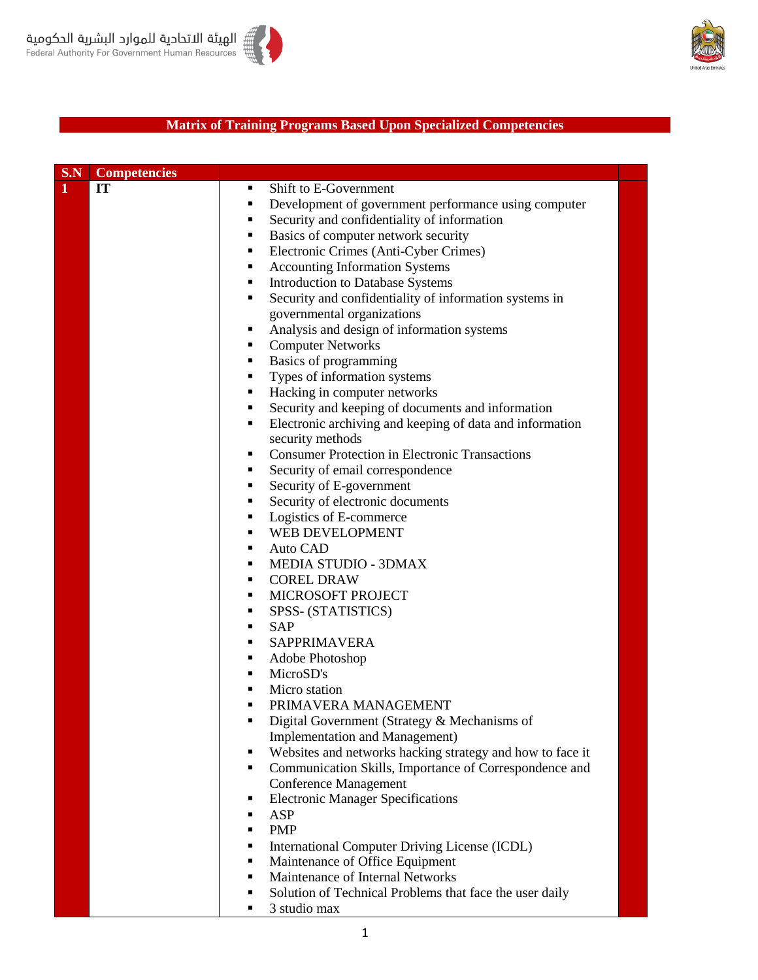



## **Matrix of Training Programs Based Upon Specialized Competencies**

| S.N | <b>Competencies</b> |                     |                                                                                             |
|-----|---------------------|---------------------|---------------------------------------------------------------------------------------------|
| 1   | IT                  | $\blacksquare$      | Shift to E-Government                                                                       |
|     |                     | $\blacksquare$      | Development of government performance using computer                                        |
|     |                     | Ξ                   | Security and confidentiality of information                                                 |
|     |                     | Ξ                   | Basics of computer network security                                                         |
|     |                     | ٠                   | Electronic Crimes (Anti-Cyber Crimes)                                                       |
|     |                     | Ξ                   | <b>Accounting Information Systems</b>                                                       |
|     |                     | ٠                   | Introduction to Database Systems                                                            |
|     |                     | Ξ                   | Security and confidentiality of information systems in                                      |
|     |                     |                     | governmental organizations                                                                  |
|     |                     | ٠                   | Analysis and design of information systems                                                  |
|     |                     | Ξ                   | <b>Computer Networks</b>                                                                    |
|     |                     | ٠                   | Basics of programming                                                                       |
|     |                     | ٠                   | Types of information systems                                                                |
|     |                     | ٠                   | Hacking in computer networks                                                                |
|     |                     | ٠                   | Security and keeping of documents and information                                           |
|     |                     | ٠                   | Electronic archiving and keeping of data and information                                    |
|     |                     |                     | security methods                                                                            |
|     |                     | ٠                   | <b>Consumer Protection in Electronic Transactions</b>                                       |
|     |                     | Ξ                   | Security of email correspondence                                                            |
|     |                     | ٠                   | Security of E-government                                                                    |
|     |                     | Ξ                   | Security of electronic documents                                                            |
|     |                     | Ξ                   | Logistics of E-commerce                                                                     |
|     |                     | ٠                   | WEB DEVELOPMENT                                                                             |
|     |                     | ٠                   | Auto CAD                                                                                    |
|     |                     | п                   | MEDIA STUDIO - 3DMAX                                                                        |
|     |                     | ٠                   | <b>COREL DRAW</b>                                                                           |
|     |                     | ٠                   | MICROSOFT PROJECT                                                                           |
|     |                     | п                   | SPSS- (STATISTICS)                                                                          |
|     |                     | $\blacksquare$      | <b>SAP</b>                                                                                  |
|     |                     | $\blacksquare$      | SAPPRIMAVERA                                                                                |
|     |                     | ٠                   | Adobe Photoshop                                                                             |
|     |                     | ٠<br>$\blacksquare$ | MicroSD's                                                                                   |
|     |                     | П                   | Micro station<br>PRIMAVERA MANAGEMENT                                                       |
|     |                     |                     | Digital Government (Strategy & Mechanisms of                                                |
|     |                     |                     |                                                                                             |
|     |                     | ٠                   | Implementation and Management)<br>Websites and networks hacking strategy and how to face it |
|     |                     | ٠                   | Communication Skills, Importance of Correspondence and                                      |
|     |                     |                     | <b>Conference Management</b>                                                                |
|     |                     | п                   | <b>Electronic Manager Specifications</b>                                                    |
|     |                     | ٠                   | ASP                                                                                         |
|     |                     | ٠                   | <b>PMP</b>                                                                                  |
|     |                     | п                   | International Computer Driving License (ICDL)                                               |
|     |                     | п                   | Maintenance of Office Equipment                                                             |
|     |                     | ٠                   | Maintenance of Internal Networks                                                            |
|     |                     | п                   | Solution of Technical Problems that face the user daily                                     |
|     |                     | Ξ                   | 3 studio max                                                                                |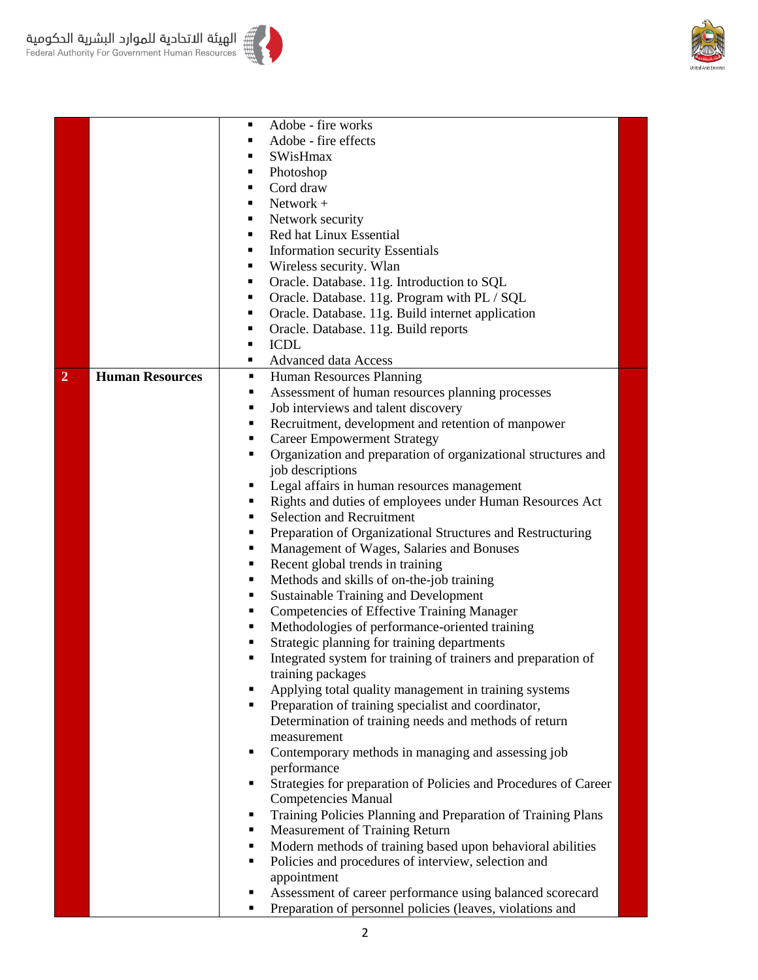

|                |                        | Adobe - fire works                                                   |
|----------------|------------------------|----------------------------------------------------------------------|
|                |                        | Adobe - fire effects                                                 |
|                |                        | SWisHmax                                                             |
|                |                        | Photoshop<br>п                                                       |
|                |                        | Cord draw<br>$\blacksquare$                                          |
|                |                        | $Network +$                                                          |
|                |                        | Network security<br>$\blacksquare$                                   |
|                |                        | Red hat Linux Essential<br>٠                                         |
|                |                        | <b>Information security Essentials</b><br>٠                          |
|                |                        | Wireless security. Wlan<br>٠                                         |
|                |                        | Oracle. Database. 11g. Introduction to SQL<br>$\blacksquare$         |
|                |                        | Oracle. Database. 11g. Program with PL / SQL<br>п                    |
|                |                        | Oracle. Database. 11g. Build internet application<br>п               |
|                |                        | Oracle. Database. 11g. Build reports<br>п                            |
|                |                        | <b>ICDL</b>                                                          |
|                |                        | Advanced data Access<br>$\blacksquare$                               |
| $\overline{2}$ | <b>Human Resources</b> | Human Resources Planning<br>٠                                        |
|                |                        | Assessment of human resources planning processes<br>٠                |
|                |                        | Job interviews and talent discovery<br>п                             |
|                |                        | Recruitment, development and retention of manpower<br>٠              |
|                |                        | <b>Career Empowerment Strategy</b><br>٠                              |
|                |                        | Organization and preparation of organizational structures and<br>٠   |
|                |                        | job descriptions                                                     |
|                |                        | Legal affairs in human resources management                          |
|                |                        | Rights and duties of employees under Human Resources Act<br>٠        |
|                |                        | Selection and Recruitment<br>٠                                       |
|                |                        | Preparation of Organizational Structures and Restructuring<br>٠      |
|                |                        | Management of Wages, Salaries and Bonuses<br>п                       |
|                |                        | Recent global trends in training<br>٠                                |
|                |                        | Methods and skills of on-the-job training<br>п                       |
|                |                        | <b>Sustainable Training and Development</b><br>п                     |
|                |                        | <b>Competencies of Effective Training Manager</b><br>Е               |
|                |                        | Methodologies of performance-oriented training<br>■                  |
|                |                        | Strategic planning for training departments<br>٠                     |
|                |                        | Integrated system for training of trainers and preparation of<br>п   |
|                |                        | training packages                                                    |
|                |                        | Applying total quality management in training systems                |
|                |                        | Preparation of training specialist and coordinator,                  |
|                |                        | Determination of training needs and methods of return                |
|                |                        | measurement                                                          |
|                |                        | Contemporary methods in managing and assessing job<br>٠              |
|                |                        | performance                                                          |
|                |                        | Strategies for preparation of Policies and Procedures of Career<br>٠ |
|                |                        | <b>Competencies Manual</b>                                           |
|                |                        | Training Policies Planning and Preparation of Training Plans<br>٠    |
|                |                        | Measurement of Training Return<br>٠                                  |
|                |                        | Modern methods of training based upon behavioral abilities<br>٠      |
|                |                        | Policies and procedures of interview, selection and<br>٠             |
|                |                        | appointment                                                          |
|                |                        | Assessment of career performance using balanced scorecard<br>٠       |
|                |                        | Preparation of personnel policies (leaves, violations and            |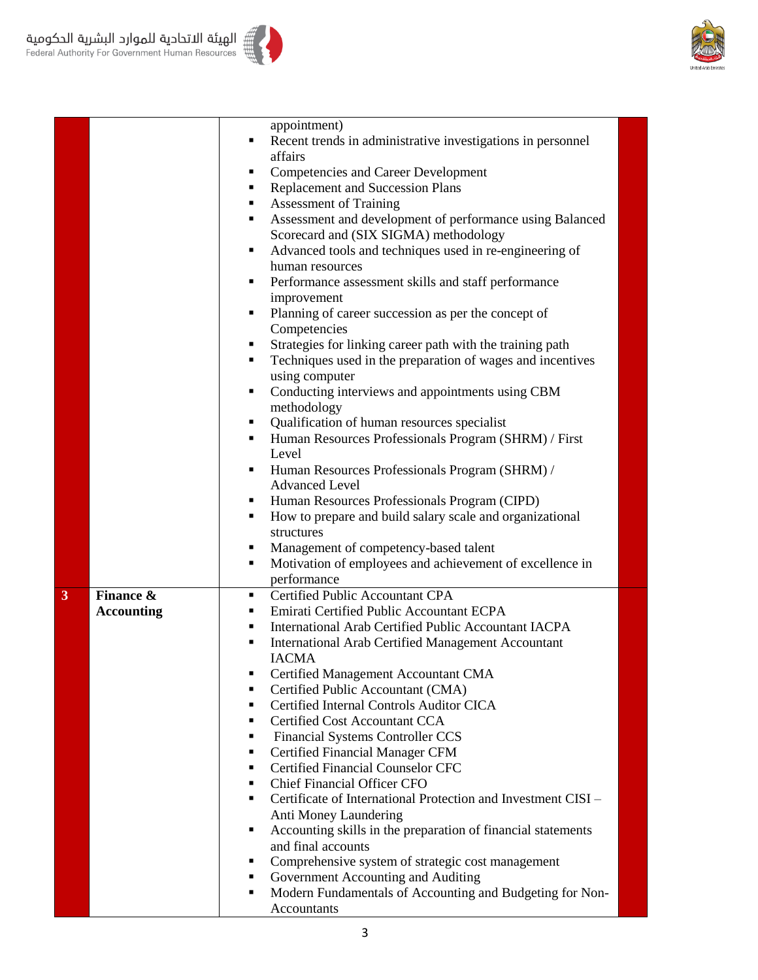



|   |                   | appointment)<br>Recent trends in administrative investigations in personnel<br>٠           |
|---|-------------------|--------------------------------------------------------------------------------------------|
|   |                   | affairs                                                                                    |
|   |                   | <b>Competencies and Career Development</b><br>٠                                            |
|   |                   | <b>Replacement and Succession Plans</b><br>٠                                               |
|   |                   | <b>Assessment of Training</b><br>٠                                                         |
|   |                   | Assessment and development of performance using Balanced<br>٠                              |
|   |                   | Scorecard and (SIX SIGMA) methodology                                                      |
|   |                   | Advanced tools and techniques used in re-engineering of<br>٠                               |
|   |                   | human resources                                                                            |
|   |                   | Performance assessment skills and staff performance<br>٠                                   |
|   |                   | improvement                                                                                |
|   |                   | Planning of career succession as per the concept of<br>٠                                   |
|   |                   | Competencies                                                                               |
|   |                   | Strategies for linking career path with the training path<br>٠                             |
|   |                   | Techniques used in the preparation of wages and incentives<br>٠                            |
|   |                   | using computer                                                                             |
|   |                   | Conducting interviews and appointments using CBM<br>٠                                      |
|   |                   | methodology                                                                                |
|   |                   | Qualification of human resources specialist<br>٠                                           |
|   |                   | Human Resources Professionals Program (SHRM) / First<br>٠                                  |
|   |                   | Level                                                                                      |
|   |                   | Human Resources Professionals Program (SHRM) /<br>٠                                        |
|   |                   | <b>Advanced Level</b>                                                                      |
|   |                   | Human Resources Professionals Program (CIPD)<br>٠<br>٠                                     |
|   |                   | How to prepare and build salary scale and organizational<br>structures                     |
|   |                   | Management of competency-based talent<br>٠                                                 |
|   |                   | Motivation of employees and achievement of excellence in<br>٠                              |
|   |                   | performance                                                                                |
| 3 | Finance &         | Certified Public Accountant CPA<br>٠                                                       |
|   | <b>Accounting</b> | Emirati Certified Public Accountant ECPA<br>٠                                              |
|   |                   | International Arab Certified Public Accountant IACPA<br>٠                                  |
|   |                   | <b>International Arab Certified Management Accountant</b><br>٠                             |
|   |                   | <b>IACMA</b>                                                                               |
|   |                   | Certified Management Accountant CMA<br>п                                                   |
|   |                   | Certified Public Accountant (CMA)<br>п                                                     |
|   |                   | Certified Internal Controls Auditor CICA<br>٠                                              |
|   |                   | Certified Cost Accountant CCA<br>٠                                                         |
|   |                   | <b>Financial Systems Controller CCS</b><br>٠                                               |
|   |                   | <b>Certified Financial Manager CFM</b><br>٠                                                |
|   |                   | <b>Certified Financial Counselor CFC</b><br>٠                                              |
|   |                   | <b>Chief Financial Officer CFO</b><br>٠                                                    |
|   |                   | Certificate of International Protection and Investment CISI -<br>٠                         |
|   |                   | Anti Money Laundering<br>Accounting skills in the preparation of financial statements<br>٠ |
|   |                   | and final accounts                                                                         |
|   |                   | Comprehensive system of strategic cost management<br>٠                                     |
|   |                   | Government Accounting and Auditing<br>٠                                                    |
|   |                   | Modern Fundamentals of Accounting and Budgeting for Non-<br>٠                              |
|   |                   | Accountants                                                                                |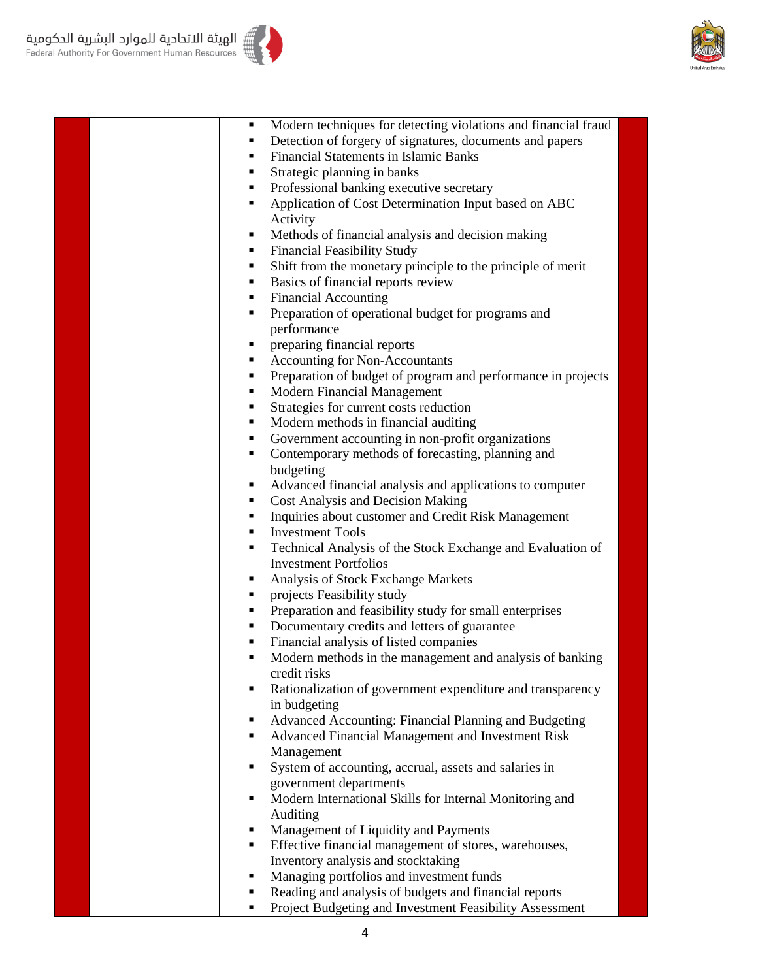



| ٠              | Modern techniques for detecting violations and financial fraud |
|----------------|----------------------------------------------------------------|
| ٠              | Detection of forgery of signatures, documents and papers       |
| ٠              | <b>Financial Statements in Islamic Banks</b>                   |
| ٠              | Strategic planning in banks                                    |
| ٠              | Professional banking executive secretary                       |
| ٠              | Application of Cost Determination Input based on ABC           |
|                | Activity                                                       |
| ٠              | Methods of financial analysis and decision making              |
| $\blacksquare$ | <b>Financial Feasibility Study</b>                             |
| $\blacksquare$ | Shift from the monetary principle to the principle of merit    |
| ٠              | Basics of financial reports review                             |
| ٠              | <b>Financial Accounting</b>                                    |
| ٠              | Preparation of operational budget for programs and             |
|                | performance                                                    |
| ٠              | preparing financial reports                                    |
| ٠              | <b>Accounting for Non-Accountants</b>                          |
| ٠              | Preparation of budget of program and performance in projects   |
| ٠              | Modern Financial Management                                    |
| ٠              | Strategies for current costs reduction                         |
| ٠              | Modern methods in financial auditing                           |
| . .            | Government accounting in non-profit organizations              |
| ٠              | Contemporary methods of forecasting, planning and              |
|                | budgeting                                                      |
| ٠              | Advanced financial analysis and applications to computer       |
| ٠              | <b>Cost Analysis and Decision Making</b>                       |
| ٠              | Inquiries about customer and Credit Risk Management            |
| $\blacksquare$ | <b>Investment Tools</b>                                        |
| ٠              | Technical Analysis of the Stock Exchange and Evaluation of     |
|                | <b>Investment Portfolios</b>                                   |
| ٠              | Analysis of Stock Exchange Markets                             |
| ٠              | projects Feasibility study                                     |
| ٠              | Preparation and feasibility study for small enterprises        |
| ٠              | Documentary credits and letters of guarantee                   |
| ٠              | Financial analysis of listed companies                         |
| ٠              | Modern methods in the management and analysis of banking       |
|                | credit risks                                                   |
| ٠              | Rationalization of government expenditure and transparency     |
|                | in budgeting                                                   |
| ٠              | Advanced Accounting: Financial Planning and Budgeting          |
| ٠              | Advanced Financial Management and Investment Risk              |
|                | Management                                                     |
| ٠              | System of accounting, accrual, assets and salaries in          |
|                | government departments                                         |
| ٠              | Modern International Skills for Internal Monitoring and        |
|                | Auditing                                                       |
| ٠              | Management of Liquidity and Payments                           |
| $\blacksquare$ | Effective financial management of stores, warehouses,          |
|                | Inventory analysis and stocktaking                             |
| ٠              | Managing portfolios and investment funds                       |
| ٠              | Reading and analysis of budgets and financial reports          |
|                |                                                                |

**Project Budgeting and Investment Feasibility Assessment**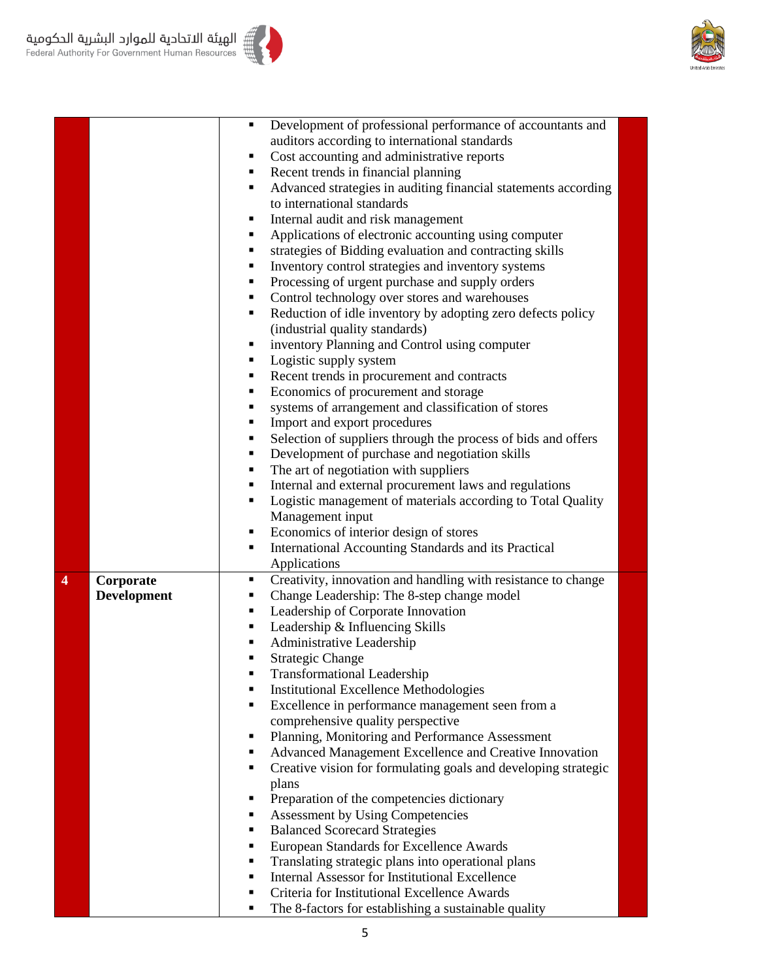



الهيئة الاتحادية للموارد البشرية الحكومية =<br>|Federal Authority For Government Human Resources

|   |                    | Ξ      | Development of professional performance of accountants and                                           |  |
|---|--------------------|--------|------------------------------------------------------------------------------------------------------|--|
|   |                    |        | auditors according to international standards                                                        |  |
|   |                    | ٠      | Cost accounting and administrative reports                                                           |  |
|   |                    | ٠      | Recent trends in financial planning                                                                  |  |
|   |                    | ٠      | Advanced strategies in auditing financial statements according                                       |  |
|   |                    |        | to international standards                                                                           |  |
|   |                    | ٠      | Internal audit and risk management                                                                   |  |
|   |                    |        | Applications of electronic accounting using computer                                                 |  |
|   |                    |        | strategies of Bidding evaluation and contracting skills                                              |  |
|   |                    | ٠      | Inventory control strategies and inventory systems                                                   |  |
|   |                    | ٠      | Processing of urgent purchase and supply orders                                                      |  |
|   |                    | ٠      | Control technology over stores and warehouses                                                        |  |
|   |                    | ٠      | Reduction of idle inventory by adopting zero defects policy                                          |  |
|   |                    |        | (industrial quality standards)                                                                       |  |
|   |                    | п      | inventory Planning and Control using computer                                                        |  |
|   |                    | п      | Logistic supply system                                                                               |  |
|   |                    | ٠      | Recent trends in procurement and contracts                                                           |  |
|   |                    | ٠      | Economics of procurement and storage                                                                 |  |
|   |                    | ٠      | systems of arrangement and classification of stores                                                  |  |
|   |                    | ٠      | Import and export procedures                                                                         |  |
|   |                    | ٠      | Selection of suppliers through the process of bids and offers                                        |  |
|   |                    | ٠      | Development of purchase and negotiation skills                                                       |  |
|   |                    |        | The art of negotiation with suppliers                                                                |  |
|   |                    | п      | Internal and external procurement laws and regulations                                               |  |
|   |                    | п      | Logistic management of materials according to Total Quality                                          |  |
|   |                    |        | Management input                                                                                     |  |
|   |                    | ٠      | Economics of interior design of stores                                                               |  |
|   |                    | ٠      | International Accounting Standards and its Practical                                                 |  |
|   |                    |        | Applications                                                                                         |  |
| 4 | Corporate          | ٠      | Creativity, innovation and handling with resistance to change                                        |  |
|   | <b>Development</b> | ٠      | Change Leadership: The 8-step change model                                                           |  |
|   |                    | Ξ      | Leadership of Corporate Innovation                                                                   |  |
|   |                    | п      | Leadership & Influencing Skills                                                                      |  |
|   |                    |        | Administrative Leadership                                                                            |  |
|   |                    |        | <b>Strategic Change</b>                                                                              |  |
|   |                    |        | <b>Transformational Leadership</b>                                                                   |  |
|   |                    | п      | <b>Institutional Excellence Methodologies</b>                                                        |  |
|   |                    | ٠      | Excellence in performance management seen from a                                                     |  |
|   |                    |        | comprehensive quality perspective                                                                    |  |
|   |                    | п      | Planning, Monitoring and Performance Assessment                                                      |  |
|   |                    | ٠      | Advanced Management Excellence and Creative Innovation                                               |  |
|   |                    | ٠      | Creative vision for formulating goals and developing strategic                                       |  |
|   |                    |        | plans                                                                                                |  |
|   |                    | ٠      | Preparation of the competencies dictionary                                                           |  |
|   |                    | ٠      | <b>Assessment by Using Competencies</b>                                                              |  |
|   |                    |        |                                                                                                      |  |
|   |                    | ٠      |                                                                                                      |  |
|   |                    | ٠      | <b>Balanced Scorecard Strategies</b>                                                                 |  |
|   |                    |        | European Standards for Excellence Awards                                                             |  |
|   |                    | п<br>٠ | Translating strategic plans into operational plans                                                   |  |
|   |                    |        | <b>Internal Assessor for Institutional Excellence</b>                                                |  |
|   |                    | ٠      | Criteria for Institutional Excellence Awards<br>The 8-factors for establishing a sustainable quality |  |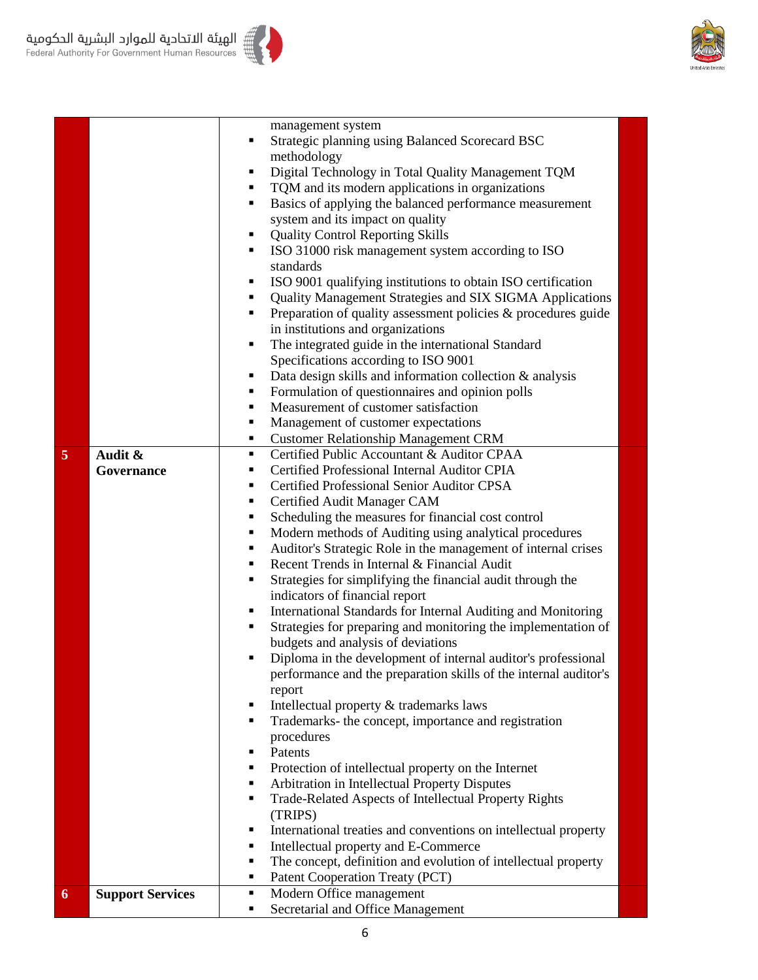

|   |                         | management system                                                    |
|---|-------------------------|----------------------------------------------------------------------|
|   |                         | Strategic planning using Balanced Scorecard BSC<br>п                 |
|   |                         | methodology                                                          |
|   |                         | Digital Technology in Total Quality Management TQM<br>Ξ              |
|   |                         |                                                                      |
|   |                         | TQM and its modern applications in organizations                     |
|   |                         | Basics of applying the balanced performance measurement<br>٠         |
|   |                         | system and its impact on quality                                     |
|   |                         | <b>Quality Control Reporting Skills</b><br>٠                         |
|   |                         | ISO 31000 risk management system according to ISO<br>٠               |
|   |                         | standards                                                            |
|   |                         | ISO 9001 qualifying institutions to obtain ISO certification<br>Ξ    |
|   |                         | Quality Management Strategies and SIX SIGMA Applications<br>п        |
|   |                         | Preparation of quality assessment policies & procedures guide<br>Ξ   |
|   |                         | in institutions and organizations                                    |
|   |                         | The integrated guide in the international Standard<br>٠              |
|   |                         | Specifications according to ISO 9001                                 |
|   |                         | Data design skills and information collection $\&$ analysis<br>٠     |
|   |                         | Formulation of questionnaires and opinion polls<br>п                 |
|   |                         | Measurement of customer satisfaction                                 |
|   |                         | Management of customer expectations<br>٠                             |
|   |                         | <b>Customer Relationship Management CRM</b><br>٠                     |
| 5 | Audit &                 | Certified Public Accountant & Auditor CPAA<br>٠                      |
|   | Governance              | Certified Professional Internal Auditor CPIA<br>٠                    |
|   |                         | Certified Professional Senior Auditor CPSA<br>٠                      |
|   |                         | ٠                                                                    |
|   |                         | Certified Audit Manager CAM<br>Ξ                                     |
|   |                         | Scheduling the measures for financial cost control                   |
|   |                         | Modern methods of Auditing using analytical procedures<br>Ξ          |
|   |                         | Auditor's Strategic Role in the management of internal crises<br>٠   |
|   |                         | Recent Trends in Internal & Financial Audit<br>٠                     |
|   |                         | Strategies for simplifying the financial audit through the<br>Ξ      |
|   |                         | indicators of financial report                                       |
|   |                         | International Standards for Internal Auditing and Monitoring<br>٠    |
|   |                         | Strategies for preparing and monitoring the implementation of<br>٠   |
|   |                         | budgets and analysis of deviations                                   |
|   |                         | Diploma in the development of internal auditor's professional        |
|   |                         | performance and the preparation skills of the internal auditor's     |
|   |                         | report                                                               |
|   |                         | Intellectual property & trademarks laws<br>٠                         |
|   |                         | Trademarks- the concept, importance and registration<br>٠            |
|   |                         | procedures                                                           |
|   |                         | Patents<br>٠                                                         |
|   |                         | Protection of intellectual property on the Internet<br>٠             |
|   |                         | Arbitration in Intellectual Property Disputes<br>٠                   |
|   |                         | Trade-Related Aspects of Intellectual Property Rights<br>٠           |
|   |                         | (TRIPS)                                                              |
|   |                         | International treaties and conventions on intellectual property<br>п |
|   |                         | Intellectual property and E-Commerce<br>٠                            |
|   |                         | The concept, definition and evolution of intellectual property<br>٠  |
|   |                         | Patent Cooperation Treaty (PCT)<br>٠                                 |
| 6 | <b>Support Services</b> | Modern Office management<br>٠                                        |
|   |                         | Secretarial and Office Management<br>٠                               |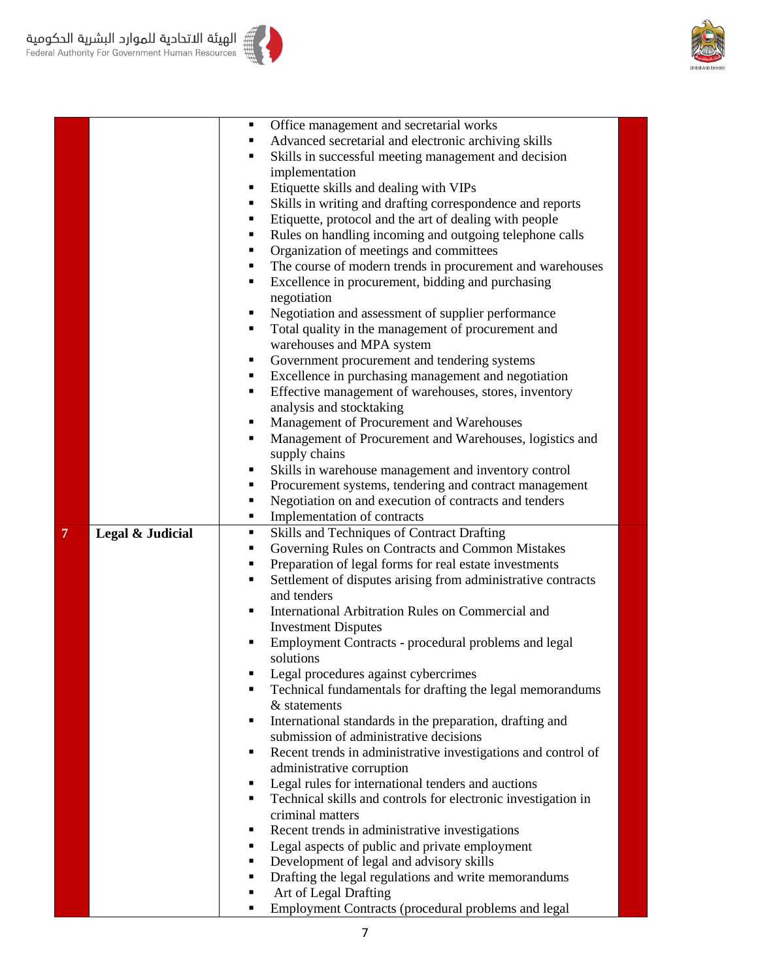

|   |                  |   | Office management and secretarial works                       |  |
|---|------------------|---|---------------------------------------------------------------|--|
|   |                  |   | Advanced secretarial and electronic archiving skills          |  |
|   |                  |   | Skills in successful meeting management and decision          |  |
|   |                  |   | implementation                                                |  |
|   |                  |   | Etiquette skills and dealing with VIPs                        |  |
|   |                  |   | Skills in writing and drafting correspondence and reports     |  |
|   |                  |   | Etiquette, protocol and the art of dealing with people        |  |
|   |                  |   | Rules on handling incoming and outgoing telephone calls       |  |
|   |                  |   | Organization of meetings and committees                       |  |
|   |                  |   | The course of modern trends in procurement and warehouses     |  |
|   |                  |   | Excellence in procurement, bidding and purchasing             |  |
|   |                  |   | negotiation                                                   |  |
|   |                  |   | Negotiation and assessment of supplier performance            |  |
|   |                  |   | Total quality in the management of procurement and            |  |
|   |                  |   | warehouses and MPA system                                     |  |
|   |                  | п | Government procurement and tendering systems                  |  |
|   |                  |   | Excellence in purchasing management and negotiation           |  |
|   |                  |   | Effective management of warehouses, stores, inventory         |  |
|   |                  |   | analysis and stocktaking                                      |  |
|   |                  |   | Management of Procurement and Warehouses                      |  |
|   |                  |   | Management of Procurement and Warehouses, logistics and       |  |
|   |                  |   | supply chains                                                 |  |
|   |                  |   | Skills in warehouse management and inventory control          |  |
|   |                  |   | Procurement systems, tendering and contract management        |  |
|   |                  |   | Negotiation on and execution of contracts and tenders         |  |
|   |                  | ٠ | Implementation of contracts                                   |  |
| 7 | Legal & Judicial | ٠ | Skills and Techniques of Contract Drafting                    |  |
|   |                  | ٠ | Governing Rules on Contracts and Common Mistakes              |  |
|   |                  | ٠ | Preparation of legal forms for real estate investments        |  |
|   |                  |   | Settlement of disputes arising from administrative contracts  |  |
|   |                  |   | and tenders                                                   |  |
|   |                  |   | International Arbitration Rules on Commercial and             |  |
|   |                  |   | <b>Investment Disputes</b>                                    |  |
|   |                  |   | Employment Contracts - procedural problems and legal          |  |
|   |                  |   | solutions                                                     |  |
|   |                  |   | Legal procedures against cybercrimes                          |  |
|   |                  |   | Technical fundamentals for drafting the legal memorandums     |  |
|   |                  |   | & statements                                                  |  |
|   |                  | ٠ | International standards in the preparation, drafting and      |  |
|   |                  |   | submission of administrative decisions                        |  |
|   |                  | п | Recent trends in administrative investigations and control of |  |
|   |                  |   | administrative corruption                                     |  |
|   |                  | п | Legal rules for international tenders and auctions            |  |
|   |                  |   | Technical skills and controls for electronic investigation in |  |
|   |                  |   | criminal matters                                              |  |
|   |                  |   | Recent trends in administrative investigations                |  |
|   |                  |   | Legal aspects of public and private employment                |  |
|   |                  | ٠ | Development of legal and advisory skills                      |  |
|   |                  |   | Drafting the legal regulations and write memorandums          |  |
|   |                  |   | Art of Legal Drafting                                         |  |
|   |                  |   |                                                               |  |
|   |                  |   | Employment Contracts (procedural problems and legal           |  |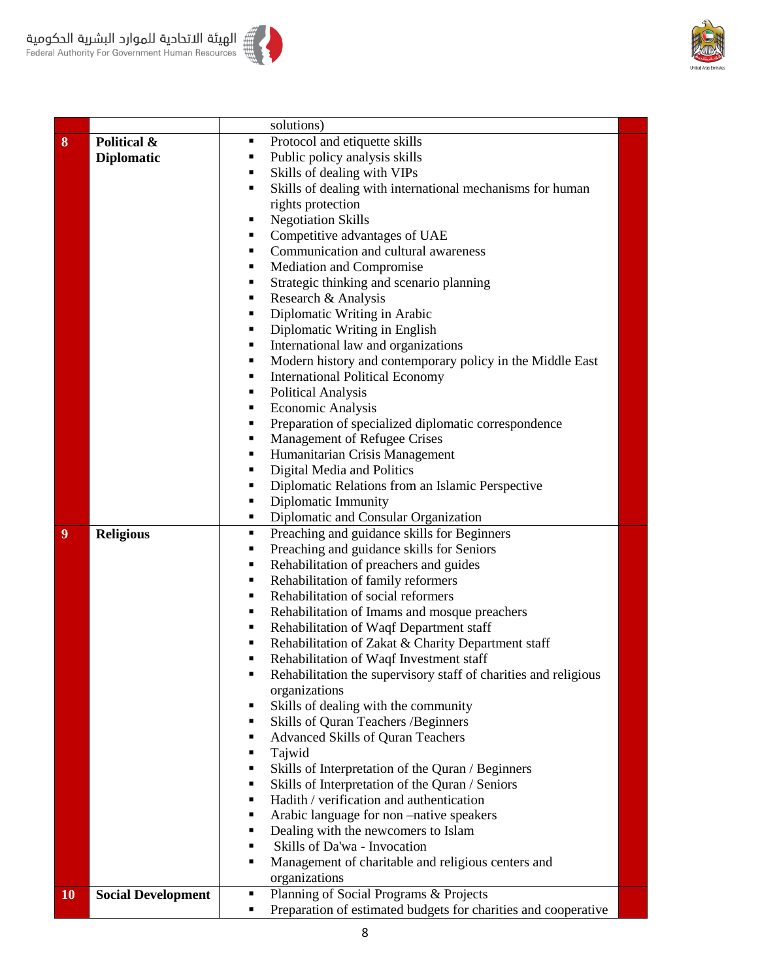



| 8  | Political &               | ٠                                                                                                                                                                                                                                                                                                                                                                                                                                                                                                                                                                                                                                                                                                                                                                                                                                                                                                                                                                                                                                                                                                                                                                                                                                                                                                                                                                                                                                                                                                                                                                                                                                                                                                                                                                                                                                                                                                                                                                                                                                                                                                                                                                 |  |  |
|----|---------------------------|-------------------------------------------------------------------------------------------------------------------------------------------------------------------------------------------------------------------------------------------------------------------------------------------------------------------------------------------------------------------------------------------------------------------------------------------------------------------------------------------------------------------------------------------------------------------------------------------------------------------------------------------------------------------------------------------------------------------------------------------------------------------------------------------------------------------------------------------------------------------------------------------------------------------------------------------------------------------------------------------------------------------------------------------------------------------------------------------------------------------------------------------------------------------------------------------------------------------------------------------------------------------------------------------------------------------------------------------------------------------------------------------------------------------------------------------------------------------------------------------------------------------------------------------------------------------------------------------------------------------------------------------------------------------------------------------------------------------------------------------------------------------------------------------------------------------------------------------------------------------------------------------------------------------------------------------------------------------------------------------------------------------------------------------------------------------------------------------------------------------------------------------------------------------|--|--|
|    | <b>Diplomatic</b>         | ٠                                                                                                                                                                                                                                                                                                                                                                                                                                                                                                                                                                                                                                                                                                                                                                                                                                                                                                                                                                                                                                                                                                                                                                                                                                                                                                                                                                                                                                                                                                                                                                                                                                                                                                                                                                                                                                                                                                                                                                                                                                                                                                                                                                 |  |  |
|    |                           | solutions)<br>Protocol and etiquette skills<br>Public policy analysis skills<br>Skills of dealing with VIPs<br>٠<br>Skills of dealing with international mechanisms for human<br>٠<br>rights protection<br><b>Negotiation Skills</b><br>п<br>Competitive advantages of UAE<br>٠<br>Communication and cultural awareness<br>٠<br>Mediation and Compromise<br>٠<br>Strategic thinking and scenario planning<br>٠<br>Research & Analysis<br>٠<br>Diplomatic Writing in Arabic<br>٠<br>Diplomatic Writing in English<br>٠<br>International law and organizations<br>٠<br>Modern history and contemporary policy in the Middle East<br>٠<br><b>International Political Economy</b><br>٠<br><b>Political Analysis</b><br>٠<br><b>Economic Analysis</b><br>٠<br>Preparation of specialized diplomatic correspondence<br>٠<br>Management of Refugee Crises<br>٠<br>Humanitarian Crisis Management<br>٠<br>Digital Media and Politics<br>٠<br>Diplomatic Relations from an Islamic Perspective<br>٠<br>Diplomatic Immunity<br>٠<br>Diplomatic and Consular Organization<br>٠<br>Preaching and guidance skills for Beginners<br>٠<br>Preaching and guidance skills for Seniors<br>٠<br>Rehabilitation of preachers and guides<br>٠<br>Rehabilitation of family reformers<br>٠<br>Rehabilitation of social reformers<br>٠<br>Rehabilitation of Imams and mosque preachers<br>٠<br>Rehabilitation of Waqf Department staff<br>٠<br>Rehabilitation of Zakat & Charity Department staff<br>٠<br>Rehabilitation of Waqf Investment staff<br>٠<br>Rehabilitation the supervisory staff of charities and religious<br>п<br>organizations<br>Skills of dealing with the community<br>٠<br>Skills of Quran Teachers / Beginners<br>٠<br><b>Advanced Skills of Quran Teachers</b><br>٠<br>Tajwid<br>٠<br>Skills of Interpretation of the Quran / Beginners<br>٠<br>Skills of Interpretation of the Quran / Seniors<br>٠<br>Hadith / verification and authentication<br>٠<br>Arabic language for non-native speakers<br>٠<br>Dealing with the newcomers to Islam<br>٠<br>Skills of Da'wa - Invocation<br>٠<br>Management of charitable and religious centers and<br>٠<br>organizations |  |  |
|    |                           |                                                                                                                                                                                                                                                                                                                                                                                                                                                                                                                                                                                                                                                                                                                                                                                                                                                                                                                                                                                                                                                                                                                                                                                                                                                                                                                                                                                                                                                                                                                                                                                                                                                                                                                                                                                                                                                                                                                                                                                                                                                                                                                                                                   |  |  |
|    |                           |                                                                                                                                                                                                                                                                                                                                                                                                                                                                                                                                                                                                                                                                                                                                                                                                                                                                                                                                                                                                                                                                                                                                                                                                                                                                                                                                                                                                                                                                                                                                                                                                                                                                                                                                                                                                                                                                                                                                                                                                                                                                                                                                                                   |  |  |
|    |                           |                                                                                                                                                                                                                                                                                                                                                                                                                                                                                                                                                                                                                                                                                                                                                                                                                                                                                                                                                                                                                                                                                                                                                                                                                                                                                                                                                                                                                                                                                                                                                                                                                                                                                                                                                                                                                                                                                                                                                                                                                                                                                                                                                                   |  |  |
|    |                           |                                                                                                                                                                                                                                                                                                                                                                                                                                                                                                                                                                                                                                                                                                                                                                                                                                                                                                                                                                                                                                                                                                                                                                                                                                                                                                                                                                                                                                                                                                                                                                                                                                                                                                                                                                                                                                                                                                                                                                                                                                                                                                                                                                   |  |  |
|    |                           |                                                                                                                                                                                                                                                                                                                                                                                                                                                                                                                                                                                                                                                                                                                                                                                                                                                                                                                                                                                                                                                                                                                                                                                                                                                                                                                                                                                                                                                                                                                                                                                                                                                                                                                                                                                                                                                                                                                                                                                                                                                                                                                                                                   |  |  |
|    |                           |                                                                                                                                                                                                                                                                                                                                                                                                                                                                                                                                                                                                                                                                                                                                                                                                                                                                                                                                                                                                                                                                                                                                                                                                                                                                                                                                                                                                                                                                                                                                                                                                                                                                                                                                                                                                                                                                                                                                                                                                                                                                                                                                                                   |  |  |
|    |                           |                                                                                                                                                                                                                                                                                                                                                                                                                                                                                                                                                                                                                                                                                                                                                                                                                                                                                                                                                                                                                                                                                                                                                                                                                                                                                                                                                                                                                                                                                                                                                                                                                                                                                                                                                                                                                                                                                                                                                                                                                                                                                                                                                                   |  |  |
|    |                           |                                                                                                                                                                                                                                                                                                                                                                                                                                                                                                                                                                                                                                                                                                                                                                                                                                                                                                                                                                                                                                                                                                                                                                                                                                                                                                                                                                                                                                                                                                                                                                                                                                                                                                                                                                                                                                                                                                                                                                                                                                                                                                                                                                   |  |  |
|    |                           |                                                                                                                                                                                                                                                                                                                                                                                                                                                                                                                                                                                                                                                                                                                                                                                                                                                                                                                                                                                                                                                                                                                                                                                                                                                                                                                                                                                                                                                                                                                                                                                                                                                                                                                                                                                                                                                                                                                                                                                                                                                                                                                                                                   |  |  |
|    |                           |                                                                                                                                                                                                                                                                                                                                                                                                                                                                                                                                                                                                                                                                                                                                                                                                                                                                                                                                                                                                                                                                                                                                                                                                                                                                                                                                                                                                                                                                                                                                                                                                                                                                                                                                                                                                                                                                                                                                                                                                                                                                                                                                                                   |  |  |
|    |                           |                                                                                                                                                                                                                                                                                                                                                                                                                                                                                                                                                                                                                                                                                                                                                                                                                                                                                                                                                                                                                                                                                                                                                                                                                                                                                                                                                                                                                                                                                                                                                                                                                                                                                                                                                                                                                                                                                                                                                                                                                                                                                                                                                                   |  |  |
|    |                           |                                                                                                                                                                                                                                                                                                                                                                                                                                                                                                                                                                                                                                                                                                                                                                                                                                                                                                                                                                                                                                                                                                                                                                                                                                                                                                                                                                                                                                                                                                                                                                                                                                                                                                                                                                                                                                                                                                                                                                                                                                                                                                                                                                   |  |  |
|    |                           |                                                                                                                                                                                                                                                                                                                                                                                                                                                                                                                                                                                                                                                                                                                                                                                                                                                                                                                                                                                                                                                                                                                                                                                                                                                                                                                                                                                                                                                                                                                                                                                                                                                                                                                                                                                                                                                                                                                                                                                                                                                                                                                                                                   |  |  |
|    |                           |                                                                                                                                                                                                                                                                                                                                                                                                                                                                                                                                                                                                                                                                                                                                                                                                                                                                                                                                                                                                                                                                                                                                                                                                                                                                                                                                                                                                                                                                                                                                                                                                                                                                                                                                                                                                                                                                                                                                                                                                                                                                                                                                                                   |  |  |
|    |                           |                                                                                                                                                                                                                                                                                                                                                                                                                                                                                                                                                                                                                                                                                                                                                                                                                                                                                                                                                                                                                                                                                                                                                                                                                                                                                                                                                                                                                                                                                                                                                                                                                                                                                                                                                                                                                                                                                                                                                                                                                                                                                                                                                                   |  |  |
|    |                           |                                                                                                                                                                                                                                                                                                                                                                                                                                                                                                                                                                                                                                                                                                                                                                                                                                                                                                                                                                                                                                                                                                                                                                                                                                                                                                                                                                                                                                                                                                                                                                                                                                                                                                                                                                                                                                                                                                                                                                                                                                                                                                                                                                   |  |  |
|    |                           |                                                                                                                                                                                                                                                                                                                                                                                                                                                                                                                                                                                                                                                                                                                                                                                                                                                                                                                                                                                                                                                                                                                                                                                                                                                                                                                                                                                                                                                                                                                                                                                                                                                                                                                                                                                                                                                                                                                                                                                                                                                                                                                                                                   |  |  |
|    |                           |                                                                                                                                                                                                                                                                                                                                                                                                                                                                                                                                                                                                                                                                                                                                                                                                                                                                                                                                                                                                                                                                                                                                                                                                                                                                                                                                                                                                                                                                                                                                                                                                                                                                                                                                                                                                                                                                                                                                                                                                                                                                                                                                                                   |  |  |
|    |                           |                                                                                                                                                                                                                                                                                                                                                                                                                                                                                                                                                                                                                                                                                                                                                                                                                                                                                                                                                                                                                                                                                                                                                                                                                                                                                                                                                                                                                                                                                                                                                                                                                                                                                                                                                                                                                                                                                                                                                                                                                                                                                                                                                                   |  |  |
|    |                           |                                                                                                                                                                                                                                                                                                                                                                                                                                                                                                                                                                                                                                                                                                                                                                                                                                                                                                                                                                                                                                                                                                                                                                                                                                                                                                                                                                                                                                                                                                                                                                                                                                                                                                                                                                                                                                                                                                                                                                                                                                                                                                                                                                   |  |  |
|    |                           |                                                                                                                                                                                                                                                                                                                                                                                                                                                                                                                                                                                                                                                                                                                                                                                                                                                                                                                                                                                                                                                                                                                                                                                                                                                                                                                                                                                                                                                                                                                                                                                                                                                                                                                                                                                                                                                                                                                                                                                                                                                                                                                                                                   |  |  |
|    |                           |                                                                                                                                                                                                                                                                                                                                                                                                                                                                                                                                                                                                                                                                                                                                                                                                                                                                                                                                                                                                                                                                                                                                                                                                                                                                                                                                                                                                                                                                                                                                                                                                                                                                                                                                                                                                                                                                                                                                                                                                                                                                                                                                                                   |  |  |
| 9  | <b>Religious</b>          |                                                                                                                                                                                                                                                                                                                                                                                                                                                                                                                                                                                                                                                                                                                                                                                                                                                                                                                                                                                                                                                                                                                                                                                                                                                                                                                                                                                                                                                                                                                                                                                                                                                                                                                                                                                                                                                                                                                                                                                                                                                                                                                                                                   |  |  |
|    |                           |                                                                                                                                                                                                                                                                                                                                                                                                                                                                                                                                                                                                                                                                                                                                                                                                                                                                                                                                                                                                                                                                                                                                                                                                                                                                                                                                                                                                                                                                                                                                                                                                                                                                                                                                                                                                                                                                                                                                                                                                                                                                                                                                                                   |  |  |
|    |                           |                                                                                                                                                                                                                                                                                                                                                                                                                                                                                                                                                                                                                                                                                                                                                                                                                                                                                                                                                                                                                                                                                                                                                                                                                                                                                                                                                                                                                                                                                                                                                                                                                                                                                                                                                                                                                                                                                                                                                                                                                                                                                                                                                                   |  |  |
|    |                           |                                                                                                                                                                                                                                                                                                                                                                                                                                                                                                                                                                                                                                                                                                                                                                                                                                                                                                                                                                                                                                                                                                                                                                                                                                                                                                                                                                                                                                                                                                                                                                                                                                                                                                                                                                                                                                                                                                                                                                                                                                                                                                                                                                   |  |  |
|    |                           |                                                                                                                                                                                                                                                                                                                                                                                                                                                                                                                                                                                                                                                                                                                                                                                                                                                                                                                                                                                                                                                                                                                                                                                                                                                                                                                                                                                                                                                                                                                                                                                                                                                                                                                                                                                                                                                                                                                                                                                                                                                                                                                                                                   |  |  |
|    |                           |                                                                                                                                                                                                                                                                                                                                                                                                                                                                                                                                                                                                                                                                                                                                                                                                                                                                                                                                                                                                                                                                                                                                                                                                                                                                                                                                                                                                                                                                                                                                                                                                                                                                                                                                                                                                                                                                                                                                                                                                                                                                                                                                                                   |  |  |
|    |                           |                                                                                                                                                                                                                                                                                                                                                                                                                                                                                                                                                                                                                                                                                                                                                                                                                                                                                                                                                                                                                                                                                                                                                                                                                                                                                                                                                                                                                                                                                                                                                                                                                                                                                                                                                                                                                                                                                                                                                                                                                                                                                                                                                                   |  |  |
|    |                           |                                                                                                                                                                                                                                                                                                                                                                                                                                                                                                                                                                                                                                                                                                                                                                                                                                                                                                                                                                                                                                                                                                                                                                                                                                                                                                                                                                                                                                                                                                                                                                                                                                                                                                                                                                                                                                                                                                                                                                                                                                                                                                                                                                   |  |  |
|    |                           |                                                                                                                                                                                                                                                                                                                                                                                                                                                                                                                                                                                                                                                                                                                                                                                                                                                                                                                                                                                                                                                                                                                                                                                                                                                                                                                                                                                                                                                                                                                                                                                                                                                                                                                                                                                                                                                                                                                                                                                                                                                                                                                                                                   |  |  |
|    |                           |                                                                                                                                                                                                                                                                                                                                                                                                                                                                                                                                                                                                                                                                                                                                                                                                                                                                                                                                                                                                                                                                                                                                                                                                                                                                                                                                                                                                                                                                                                                                                                                                                                                                                                                                                                                                                                                                                                                                                                                                                                                                                                                                                                   |  |  |
|    |                           |                                                                                                                                                                                                                                                                                                                                                                                                                                                                                                                                                                                                                                                                                                                                                                                                                                                                                                                                                                                                                                                                                                                                                                                                                                                                                                                                                                                                                                                                                                                                                                                                                                                                                                                                                                                                                                                                                                                                                                                                                                                                                                                                                                   |  |  |
|    |                           |                                                                                                                                                                                                                                                                                                                                                                                                                                                                                                                                                                                                                                                                                                                                                                                                                                                                                                                                                                                                                                                                                                                                                                                                                                                                                                                                                                                                                                                                                                                                                                                                                                                                                                                                                                                                                                                                                                                                                                                                                                                                                                                                                                   |  |  |
|    |                           |                                                                                                                                                                                                                                                                                                                                                                                                                                                                                                                                                                                                                                                                                                                                                                                                                                                                                                                                                                                                                                                                                                                                                                                                                                                                                                                                                                                                                                                                                                                                                                                                                                                                                                                                                                                                                                                                                                                                                                                                                                                                                                                                                                   |  |  |
|    |                           |                                                                                                                                                                                                                                                                                                                                                                                                                                                                                                                                                                                                                                                                                                                                                                                                                                                                                                                                                                                                                                                                                                                                                                                                                                                                                                                                                                                                                                                                                                                                                                                                                                                                                                                                                                                                                                                                                                                                                                                                                                                                                                                                                                   |  |  |
|    |                           |                                                                                                                                                                                                                                                                                                                                                                                                                                                                                                                                                                                                                                                                                                                                                                                                                                                                                                                                                                                                                                                                                                                                                                                                                                                                                                                                                                                                                                                                                                                                                                                                                                                                                                                                                                                                                                                                                                                                                                                                                                                                                                                                                                   |  |  |
|    |                           |                                                                                                                                                                                                                                                                                                                                                                                                                                                                                                                                                                                                                                                                                                                                                                                                                                                                                                                                                                                                                                                                                                                                                                                                                                                                                                                                                                                                                                                                                                                                                                                                                                                                                                                                                                                                                                                                                                                                                                                                                                                                                                                                                                   |  |  |
|    |                           |                                                                                                                                                                                                                                                                                                                                                                                                                                                                                                                                                                                                                                                                                                                                                                                                                                                                                                                                                                                                                                                                                                                                                                                                                                                                                                                                                                                                                                                                                                                                                                                                                                                                                                                                                                                                                                                                                                                                                                                                                                                                                                                                                                   |  |  |
|    |                           |                                                                                                                                                                                                                                                                                                                                                                                                                                                                                                                                                                                                                                                                                                                                                                                                                                                                                                                                                                                                                                                                                                                                                                                                                                                                                                                                                                                                                                                                                                                                                                                                                                                                                                                                                                                                                                                                                                                                                                                                                                                                                                                                                                   |  |  |
|    |                           |                                                                                                                                                                                                                                                                                                                                                                                                                                                                                                                                                                                                                                                                                                                                                                                                                                                                                                                                                                                                                                                                                                                                                                                                                                                                                                                                                                                                                                                                                                                                                                                                                                                                                                                                                                                                                                                                                                                                                                                                                                                                                                                                                                   |  |  |
|    |                           |                                                                                                                                                                                                                                                                                                                                                                                                                                                                                                                                                                                                                                                                                                                                                                                                                                                                                                                                                                                                                                                                                                                                                                                                                                                                                                                                                                                                                                                                                                                                                                                                                                                                                                                                                                                                                                                                                                                                                                                                                                                                                                                                                                   |  |  |
|    |                           |                                                                                                                                                                                                                                                                                                                                                                                                                                                                                                                                                                                                                                                                                                                                                                                                                                                                                                                                                                                                                                                                                                                                                                                                                                                                                                                                                                                                                                                                                                                                                                                                                                                                                                                                                                                                                                                                                                                                                                                                                                                                                                                                                                   |  |  |
|    |                           |                                                                                                                                                                                                                                                                                                                                                                                                                                                                                                                                                                                                                                                                                                                                                                                                                                                                                                                                                                                                                                                                                                                                                                                                                                                                                                                                                                                                                                                                                                                                                                                                                                                                                                                                                                                                                                                                                                                                                                                                                                                                                                                                                                   |  |  |
|    |                           |                                                                                                                                                                                                                                                                                                                                                                                                                                                                                                                                                                                                                                                                                                                                                                                                                                                                                                                                                                                                                                                                                                                                                                                                                                                                                                                                                                                                                                                                                                                                                                                                                                                                                                                                                                                                                                                                                                                                                                                                                                                                                                                                                                   |  |  |
| 10 | <b>Social Development</b> | Planning of Social Programs & Projects<br>٠                                                                                                                                                                                                                                                                                                                                                                                                                                                                                                                                                                                                                                                                                                                                                                                                                                                                                                                                                                                                                                                                                                                                                                                                                                                                                                                                                                                                                                                                                                                                                                                                                                                                                                                                                                                                                                                                                                                                                                                                                                                                                                                       |  |  |
|    |                           | Preparation of estimated budgets for charities and cooperative<br>٠                                                                                                                                                                                                                                                                                                                                                                                                                                                                                                                                                                                                                                                                                                                                                                                                                                                                                                                                                                                                                                                                                                                                                                                                                                                                                                                                                                                                                                                                                                                                                                                                                                                                                                                                                                                                                                                                                                                                                                                                                                                                                               |  |  |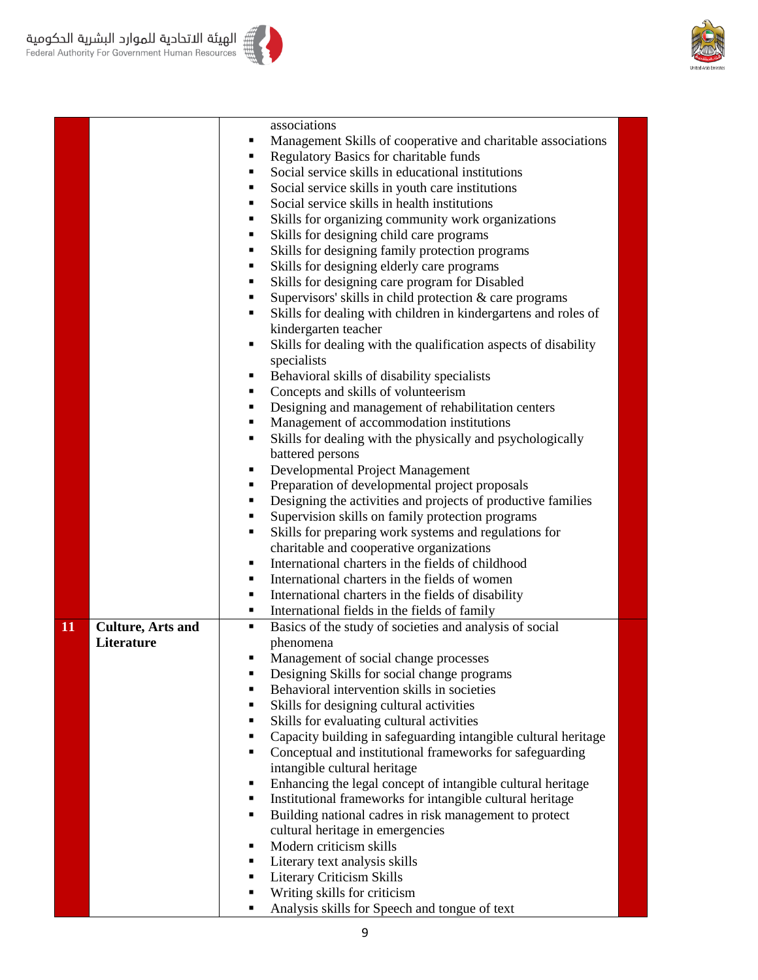



أ الهيئة الاتحادية للموارد البشرية الحكومية<br>Federal Authority For Government Human Resources

|    |                          | associations                                                                                 |                                                                                                |  |  |
|----|--------------------------|----------------------------------------------------------------------------------------------|------------------------------------------------------------------------------------------------|--|--|
|    |                          | ٠                                                                                            | Management Skills of cooperative and charitable associations                                   |  |  |
|    |                          | ٠                                                                                            | Regulatory Basics for charitable funds                                                         |  |  |
|    |                          | ٠                                                                                            | Social service skills in educational institutions                                              |  |  |
|    |                          | ٠                                                                                            | Social service skills in youth care institutions                                               |  |  |
|    |                          | ٠                                                                                            | Social service skills in health institutions                                                   |  |  |
|    |                          | ٠                                                                                            | Skills for organizing community work organizations                                             |  |  |
|    |                          | ٠                                                                                            | Skills for designing child care programs                                                       |  |  |
|    |                          | ٠                                                                                            | Skills for designing family protection programs                                                |  |  |
|    |                          | ٠                                                                                            | Skills for designing elderly care programs                                                     |  |  |
|    |                          | ٠<br>٠                                                                                       | Skills for designing care program for Disabled                                                 |  |  |
|    |                          | ٠                                                                                            | Supervisors' skills in child protection & care programs                                        |  |  |
|    |                          |                                                                                              | Skills for dealing with children in kindergartens and roles of                                 |  |  |
|    |                          | kindergarten teacher                                                                         |                                                                                                |  |  |
|    |                          | ٠                                                                                            | Skills for dealing with the qualification aspects of disability                                |  |  |
|    |                          | specialists<br>٠                                                                             |                                                                                                |  |  |
|    |                          | ٠                                                                                            | Behavioral skills of disability specialists                                                    |  |  |
|    |                          | ٠                                                                                            | Concepts and skills of volunteerism                                                            |  |  |
|    |                          | ٠                                                                                            | Designing and management of rehabilitation centers<br>Management of accommodation institutions |  |  |
|    |                          | ٠                                                                                            | Skills for dealing with the physically and psychologically                                     |  |  |
|    |                          |                                                                                              |                                                                                                |  |  |
|    |                          | battered persons                                                                             |                                                                                                |  |  |
|    |                          | Developmental Project Management<br>٠<br>Preparation of developmental project proposals<br>٠ |                                                                                                |  |  |
|    |                          | ٠                                                                                            | Designing the activities and projects of productive families                                   |  |  |
|    |                          | ٠                                                                                            | Supervision skills on family protection programs                                               |  |  |
|    |                          | ٠                                                                                            | Skills for preparing work systems and regulations for                                          |  |  |
|    |                          |                                                                                              | charitable and cooperative organizations                                                       |  |  |
|    |                          | ٠                                                                                            | International charters in the fields of childhood                                              |  |  |
|    |                          | ٠                                                                                            | International charters in the fields of women                                                  |  |  |
|    |                          | ٠                                                                                            | International charters in the fields of disability                                             |  |  |
|    |                          | ٠                                                                                            | International fields in the fields of family                                                   |  |  |
| 11 | <b>Culture, Arts and</b> | ٠                                                                                            | Basics of the study of societies and analysis of social                                        |  |  |
|    | Literature               | phenomena                                                                                    |                                                                                                |  |  |
|    |                          | ٠                                                                                            | Management of social change processes                                                          |  |  |
|    |                          | ٠                                                                                            | Designing Skills for social change programs                                                    |  |  |
|    |                          | ٠                                                                                            | Behavioral intervention skills in societies                                                    |  |  |
|    |                          | ٠                                                                                            | Skills for designing cultural activities                                                       |  |  |
|    |                          | ٠                                                                                            | Skills for evaluating cultural activities                                                      |  |  |
|    |                          | ٠                                                                                            | Capacity building in safeguarding intangible cultural heritage                                 |  |  |
|    |                          | ٠                                                                                            | Conceptual and institutional frameworks for safeguarding                                       |  |  |
|    |                          | intangible cultural heritage                                                                 |                                                                                                |  |  |
|    |                          | ٠                                                                                            | Enhancing the legal concept of intangible cultural heritage                                    |  |  |
|    |                          | ٠                                                                                            | Institutional frameworks for intangible cultural heritage                                      |  |  |
|    |                          | ٠                                                                                            | Building national cadres in risk management to protect                                         |  |  |
|    |                          |                                                                                              | cultural heritage in emergencies                                                               |  |  |
|    |                          | Modern criticism skills<br>٠                                                                 |                                                                                                |  |  |
|    |                          | Literary text analysis skills<br>٠                                                           |                                                                                                |  |  |
|    |                          | Literary Criticism Skills<br>٠                                                               |                                                                                                |  |  |
|    |                          | Writing skills for criticism<br>٠                                                            |                                                                                                |  |  |
|    |                          | ٠                                                                                            | Analysis skills for Speech and tongue of text                                                  |  |  |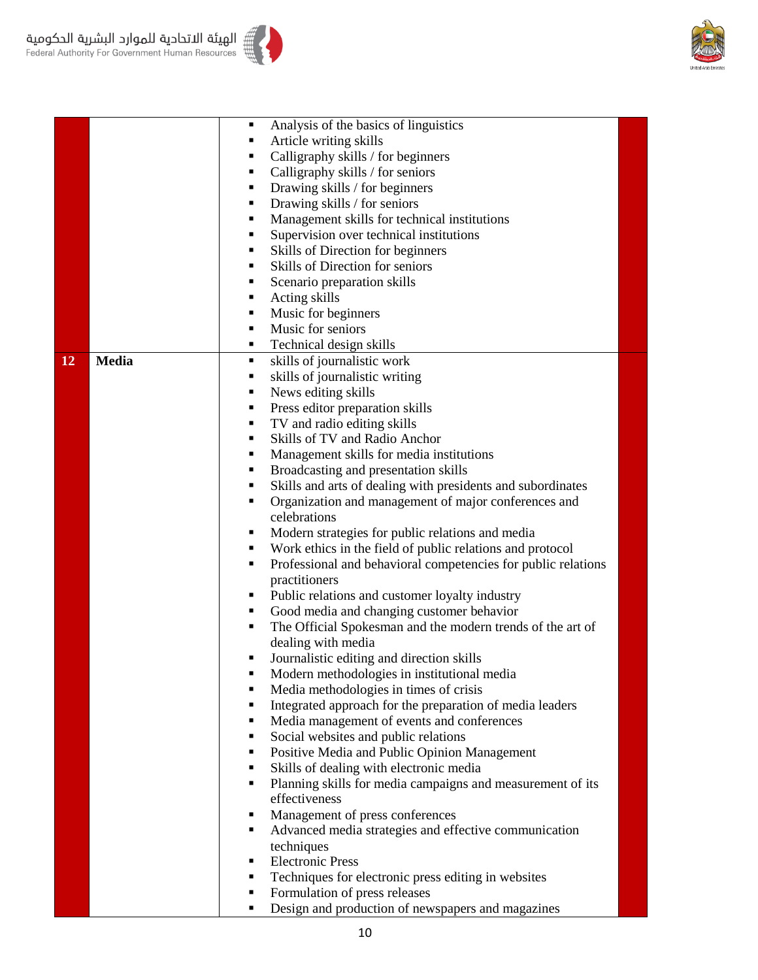

|    |              | $\blacksquare$ | Analysis of the basics of linguistics                         |  |
|----|--------------|----------------|---------------------------------------------------------------|--|
|    |              | ٠              | Article writing skills                                        |  |
|    |              | ٠              | Calligraphy skills / for beginners                            |  |
|    |              | ٠              | Calligraphy skills / for seniors                              |  |
|    |              | ٠              | Drawing skills / for beginners                                |  |
|    |              | ٠              | Drawing skills / for seniors                                  |  |
|    |              | $\blacksquare$ | Management skills for technical institutions                  |  |
|    |              | ٠              | Supervision over technical institutions                       |  |
|    |              | п              | Skills of Direction for beginners                             |  |
|    |              | ٠              | Skills of Direction for seniors                               |  |
|    |              | Ξ              | Scenario preparation skills                                   |  |
|    |              | ٠              | Acting skills                                                 |  |
|    |              | ٠              | Music for beginners                                           |  |
|    |              | $\blacksquare$ | Music for seniors                                             |  |
|    |              | ٠              |                                                               |  |
|    |              | $\blacksquare$ | Technical design skills                                       |  |
| 12 | <b>Media</b> |                | skills of journalistic work                                   |  |
|    |              | п              | skills of journalistic writing                                |  |
|    |              | ٠<br>٠         | News editing skills                                           |  |
|    |              | ٠              | Press editor preparation skills                               |  |
|    |              |                | TV and radio editing skills                                   |  |
|    |              | ٠              | Skills of TV and Radio Anchor                                 |  |
|    |              | ٠              | Management skills for media institutions                      |  |
|    |              | ٠              | Broadcasting and presentation skills                          |  |
|    |              | ٠              | Skills and arts of dealing with presidents and subordinates   |  |
|    |              | $\blacksquare$ | Organization and management of major conferences and          |  |
|    |              |                | celebrations                                                  |  |
|    |              | ٠              | Modern strategies for public relations and media              |  |
|    |              | ٠              | Work ethics in the field of public relations and protocol     |  |
|    |              | ٠              | Professional and behavioral competencies for public relations |  |
|    |              |                | practitioners                                                 |  |
|    |              | ٠              | Public relations and customer loyalty industry                |  |
|    |              | ٠              | Good media and changing customer behavior                     |  |
|    |              | ٠              | The Official Spokesman and the modern trends of the art of    |  |
|    |              |                | dealing with media                                            |  |
|    |              |                | Journalistic editing and direction skills                     |  |
|    |              |                | Modern methodologies in institutional media                   |  |
|    |              | $\blacksquare$ | Media methodologies in times of crisis                        |  |
|    |              |                | Integrated approach for the preparation of media leaders      |  |
|    |              | ٠              | Media management of events and conferences                    |  |
|    |              | ٠              | Social websites and public relations                          |  |
|    |              | ٠              | Positive Media and Public Opinion Management                  |  |
|    |              | ٠              | Skills of dealing with electronic media                       |  |
|    |              | ٠              | Planning skills for media campaigns and measurement of its    |  |
|    |              |                | effectiveness                                                 |  |
|    |              | ٠              | Management of press conferences                               |  |
|    |              | ٠              | Advanced media strategies and effective communication         |  |
|    |              |                | techniques                                                    |  |
|    |              | ٠              | <b>Electronic Press</b>                                       |  |
|    |              | ٠              | Techniques for electronic press editing in websites           |  |
|    |              | ٠              | Formulation of press releases                                 |  |
|    |              | ٠              | Design and production of newspapers and magazines             |  |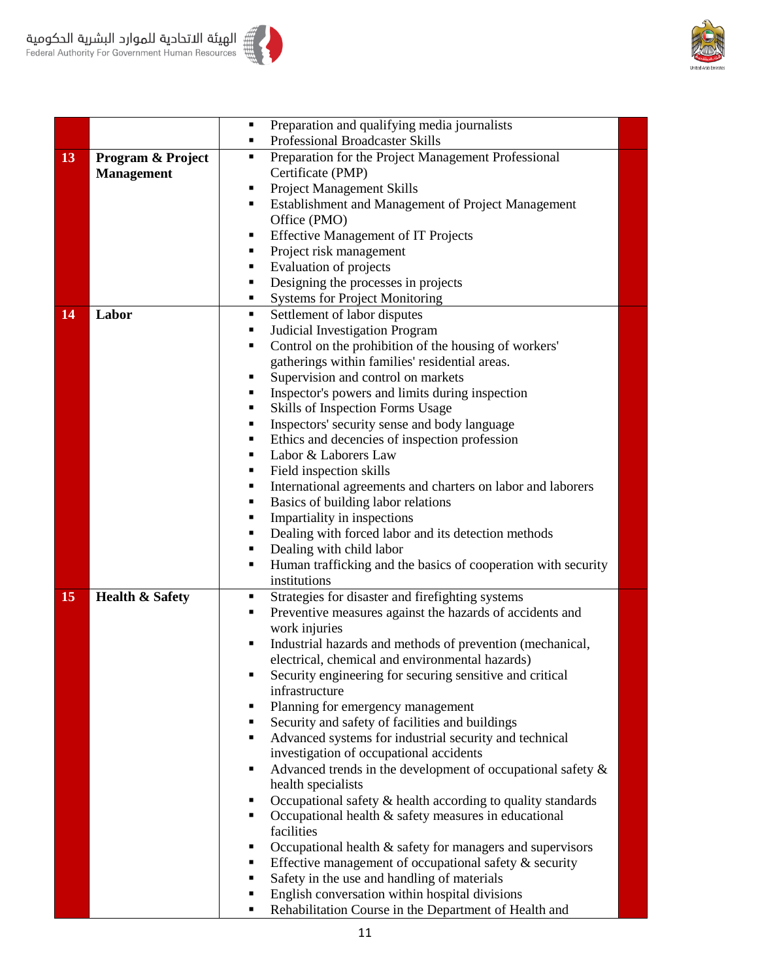



|    |                            | Preparation and qualifying media journalists<br>Ξ                  |
|----|----------------------------|--------------------------------------------------------------------|
|    |                            | Professional Broadcaster Skills<br>٠                               |
| 13 | Program & Project          | Preparation for the Project Management Professional<br>٠           |
|    | <b>Management</b>          | Certificate (PMP)                                                  |
|    |                            | <b>Project Management Skills</b><br>٠                              |
|    |                            | Establishment and Management of Project Management<br>٠            |
|    |                            | Office (PMO)                                                       |
|    |                            | <b>Effective Management of IT Projects</b><br>٠                    |
|    |                            | Project risk management<br>п                                       |
|    |                            | Evaluation of projects<br>٠                                        |
|    |                            | Designing the processes in projects<br>٠                           |
|    |                            | <b>Systems for Project Monitoring</b><br>٠                         |
| 14 | Labor                      | Settlement of labor disputes<br>٠                                  |
|    |                            | Judicial Investigation Program<br>٠                                |
|    |                            | Control on the prohibition of the housing of workers'<br>п         |
|    |                            | gatherings within families' residential areas.                     |
|    |                            | Supervision and control on markets<br>Ξ                            |
|    |                            | Inspector's powers and limits during inspection<br>Е               |
|    |                            | Skills of Inspection Forms Usage<br>٠                              |
|    |                            | Inspectors' security sense and body language<br>٠                  |
|    |                            | Ethics and decencies of inspection profession<br>٠                 |
|    |                            | Labor & Laborers Law<br>٠                                          |
|    |                            | Field inspection skills<br>٠                                       |
|    |                            | International agreements and charters on labor and laborers<br>٠   |
|    |                            | Basics of building labor relations<br>п                            |
|    |                            | Impartiality in inspections<br>п                                   |
|    |                            | Dealing with forced labor and its detection methods<br>п           |
|    |                            | Dealing with child labor<br>٠                                      |
|    |                            | Human trafficking and the basics of cooperation with security<br>٠ |
|    |                            | institutions                                                       |
| 15 | <b>Health &amp; Safety</b> | Strategies for disaster and firefighting systems<br>٠              |
|    |                            | Preventive measures against the hazards of accidents and<br>٠      |
|    |                            | work injuries                                                      |
|    |                            | Industrial hazards and methods of prevention (mechanical,<br>٠     |
|    |                            | electrical, chemical and environmental hazards)                    |
|    |                            | Security engineering for securing sensitive and critical<br>٠      |
|    |                            | infrastructure                                                     |
|    |                            | Planning for emergency management<br>٠                             |
|    |                            | Security and safety of facilities and buildings<br>٠               |
|    |                            | Advanced systems for industrial security and technical<br>٠        |
|    |                            | investigation of occupational accidents                            |
|    |                            | Advanced trends in the development of occupational safety &<br>٠   |
|    |                            | health specialists                                                 |
|    |                            | Occupational safety & health according to quality standards<br>Е   |
|    |                            | Occupational health $&$ safety measures in educational<br>п        |
|    |                            | facilities                                                         |
|    |                            | Occupational health & safety for managers and supervisors<br>٠     |
|    |                            | Effective management of occupational safety $\&$ security<br>٠     |
|    |                            | Safety in the use and handling of materials<br>٠                   |
|    |                            | English conversation within hospital divisions<br>٠                |
|    |                            | Rehabilitation Course in the Department of Health and<br>п         |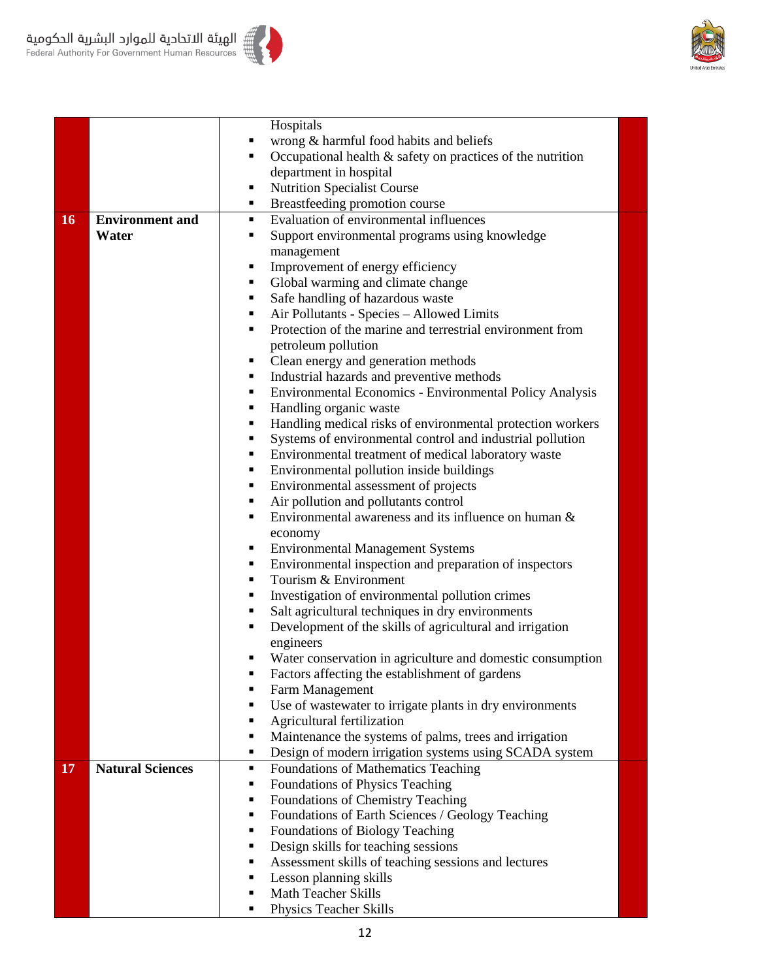



|    |                         |   | Hospitals                                                  |  |
|----|-------------------------|---|------------------------------------------------------------|--|
|    |                         |   | wrong & harmful food habits and beliefs                    |  |
|    |                         | ٠ | Occupational health & safety on practices of the nutrition |  |
|    |                         |   | department in hospital                                     |  |
|    |                         | ٠ | <b>Nutrition Specialist Course</b>                         |  |
|    |                         | ٠ | Breastfeeding promotion course                             |  |
| 16 | <b>Environment</b> and  | ٠ | Evaluation of environmental influences                     |  |
|    | Water                   | ٠ | Support environmental programs using knowledge             |  |
|    |                         |   | management                                                 |  |
|    |                         | ٠ | Improvement of energy efficiency                           |  |
|    |                         | ٠ | Global warming and climate change                          |  |
|    |                         | ٠ | Safe handling of hazardous waste                           |  |
|    |                         | ٠ | Air Pollutants - Species - Allowed Limits                  |  |
|    |                         | ٠ | Protection of the marine and terrestrial environment from  |  |
|    |                         |   | petroleum pollution                                        |  |
|    |                         |   | Clean energy and generation methods                        |  |
|    |                         | ٠ | Industrial hazards and preventive methods                  |  |
|    |                         | ٠ | Environmental Economics - Environmental Policy Analysis    |  |
|    |                         | ٠ | Handling organic waste                                     |  |
|    |                         | ٠ | Handling medical risks of environmental protection workers |  |
|    |                         | ٠ | Systems of environmental control and industrial pollution  |  |
|    |                         | ٠ | Environmental treatment of medical laboratory waste        |  |
|    |                         | ٠ | Environmental pollution inside buildings                   |  |
|    |                         | ٠ | Environmental assessment of projects                       |  |
|    |                         | ٠ | Air pollution and pollutants control                       |  |
|    |                         | ٠ | Environmental awareness and its influence on human &       |  |
|    |                         |   | economy                                                    |  |
|    |                         | ٠ | <b>Environmental Management Systems</b>                    |  |
|    |                         | ٠ | Environmental inspection and preparation of inspectors     |  |
|    |                         | ٠ | Tourism & Environment                                      |  |
|    |                         | ٠ | Investigation of environmental pollution crimes            |  |
|    |                         | ٠ | Salt agricultural techniques in dry environments           |  |
|    |                         | ٠ | Development of the skills of agricultural and irrigation   |  |
|    |                         |   | engineers                                                  |  |
|    |                         |   | Water conservation in agriculture and domestic consumption |  |
|    |                         | п | Factors affecting the establishment of gardens             |  |
|    |                         | ٠ | Farm Management                                            |  |
|    |                         | ٠ | Use of wastewater to irrigate plants in dry environments   |  |
|    |                         |   | Agricultural fertilization                                 |  |
|    |                         | ٠ | Maintenance the systems of palms, trees and irrigation     |  |
|    |                         | ٠ | Design of modern irrigation systems using SCADA system     |  |
| 17 | <b>Natural Sciences</b> | ٠ | Foundations of Mathematics Teaching                        |  |
|    |                         | ٠ | Foundations of Physics Teaching                            |  |
|    |                         | ٠ | Foundations of Chemistry Teaching                          |  |
|    |                         | ٠ | Foundations of Earth Sciences / Geology Teaching           |  |
|    |                         | ٠ | Foundations of Biology Teaching                            |  |
|    |                         | ٠ | Design skills for teaching sessions                        |  |
|    |                         | ٠ | Assessment skills of teaching sessions and lectures        |  |
|    |                         | ٠ | Lesson planning skills                                     |  |
|    |                         | ٠ | <b>Math Teacher Skills</b>                                 |  |
|    |                         | ٠ | Physics Teacher Skills                                     |  |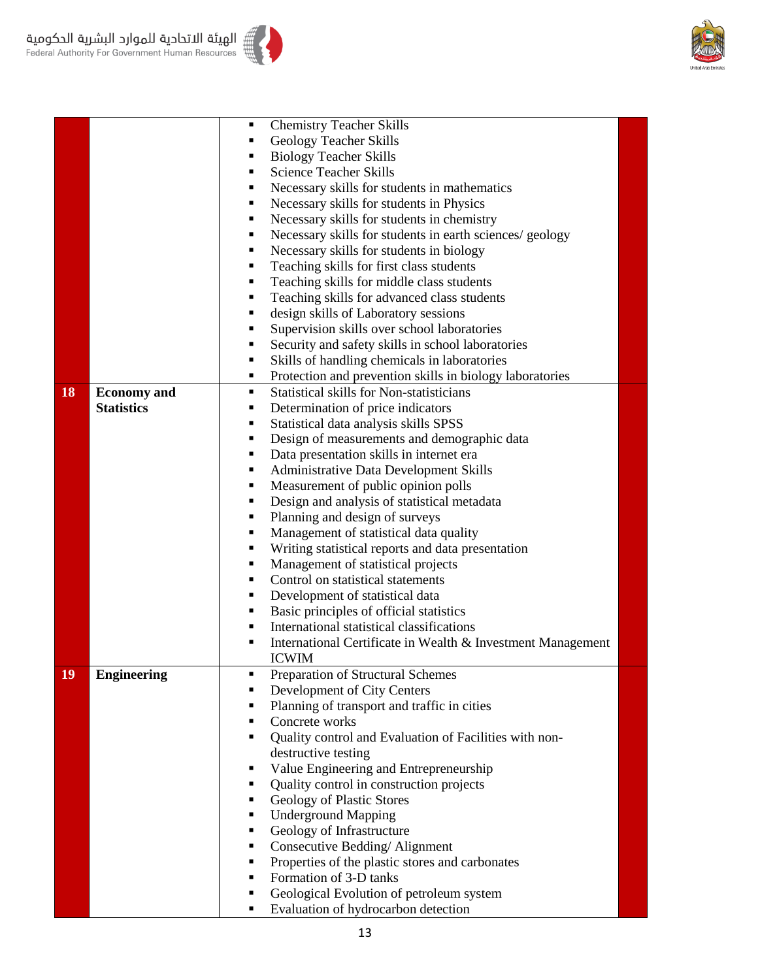

|    |                    | $\blacksquare$ | <b>Chemistry Teacher Skills</b>                                         |  |
|----|--------------------|----------------|-------------------------------------------------------------------------|--|
|    |                    |                | <b>Geology Teacher Skills</b>                                           |  |
|    |                    |                | <b>Biology Teacher Skills</b>                                           |  |
|    |                    | $\blacksquare$ | <b>Science Teacher Skills</b>                                           |  |
|    |                    | Е              | Necessary skills for students in mathematics                            |  |
|    |                    | Е              | Necessary skills for students in Physics                                |  |
|    |                    |                | Necessary skills for students in chemistry                              |  |
|    |                    | п              | Necessary skills for students in earth sciences/ geology                |  |
|    |                    | Е              | Necessary skills for students in biology                                |  |
|    |                    | п              | Teaching skills for first class students                                |  |
|    |                    | Е              | Teaching skills for middle class students                               |  |
|    |                    | ٠              | Teaching skills for advanced class students                             |  |
|    |                    | $\blacksquare$ | design skills of Laboratory sessions                                    |  |
|    |                    |                | Supervision skills over school laboratories                             |  |
|    |                    | ٠              | Security and safety skills in school laboratories                       |  |
|    |                    | Е              | Skills of handling chemicals in laboratories                            |  |
|    |                    | п              | Protection and prevention skills in biology laboratories                |  |
| 18 | <b>Economy</b> and | ٠              | <b>Statistical skills for Non-statisticians</b>                         |  |
|    | <b>Statistics</b>  | п              | Determination of price indicators                                       |  |
|    |                    | Е              | Statistical data analysis skills SPSS                                   |  |
|    |                    | $\blacksquare$ | Design of measurements and demographic data                             |  |
|    |                    | Е              | Data presentation skills in internet era                                |  |
|    |                    | п              |                                                                         |  |
|    |                    | ٠              | Administrative Data Development Skills                                  |  |
|    |                    | Е              | Measurement of public opinion polls                                     |  |
|    |                    | Е              | Design and analysis of statistical metadata                             |  |
|    |                    | п              | Planning and design of surveys                                          |  |
|    |                    | Е              | Management of statistical data quality                                  |  |
|    |                    |                | Writing statistical reports and data presentation                       |  |
|    |                    | $\blacksquare$ | Management of statistical projects<br>Control on statistical statements |  |
|    |                    | Е              |                                                                         |  |
|    |                    | Е              | Development of statistical data                                         |  |
|    |                    |                | Basic principles of official statistics                                 |  |
|    |                    | Е              | International statistical classifications                               |  |
|    |                    |                | International Certificate in Wealth & Investment Management             |  |
|    |                    |                | <b>ICWIM</b>                                                            |  |
| 19 | <b>Engineering</b> |                | Preparation of Structural Schemes                                       |  |
|    |                    |                | Development of City Centers                                             |  |
|    |                    |                | Planning of transport and traffic in cities                             |  |
|    |                    |                | Concrete works                                                          |  |
|    |                    | $\blacksquare$ | Quality control and Evaluation of Facilities with non-                  |  |
|    |                    |                | destructive testing                                                     |  |
|    |                    |                | Value Engineering and Entrepreneurship                                  |  |
|    |                    |                | Quality control in construction projects                                |  |
|    |                    | п              | Geology of Plastic Stores                                               |  |
|    |                    | п              | <b>Underground Mapping</b>                                              |  |
|    |                    | Е              | Geology of Infrastructure                                               |  |
|    |                    | ٠              | Consecutive Bedding/Alignment                                           |  |
|    |                    | ٠              | Properties of the plastic stores and carbonates                         |  |
|    |                    | $\blacksquare$ | Formation of 3-D tanks                                                  |  |
|    |                    | ٠              | Geological Evolution of petroleum system                                |  |
|    |                    | Ξ              | Evaluation of hydrocarbon detection                                     |  |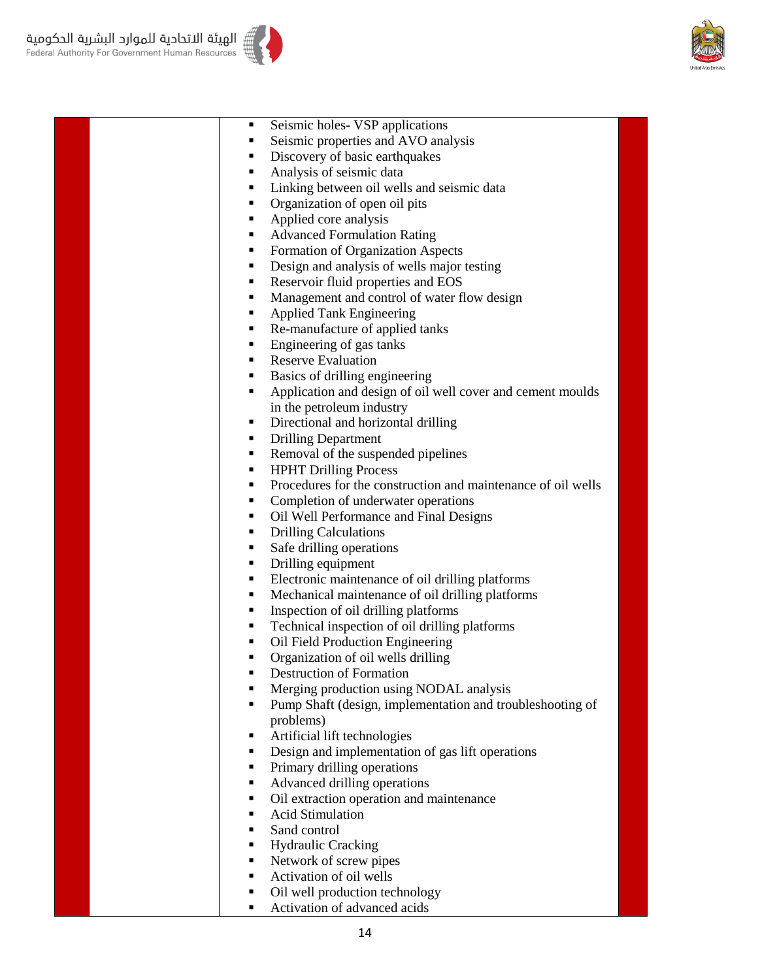



 Seismic holes- VSP applications Seismic properties and AVO analysis Discovery of basic earthquakes Analysis of seismic data Linking between oil wells and seismic data Organization of open oil pits Applied core analysis ■ Advanced Formulation Rating ■ Formation of Organization Aspects Design and analysis of wells major testing Reservoir fluid properties and EOS • Management and control of water flow design **Applied Tank Engineering** Re-manufacture of applied tanks ■ Engineering of gas tanks Reserve Evaluation Basics of drilling engineering Application and design of oil well cover and cement moulds in the petroleum industry Directional and horizontal drilling Drilling Department Removal of the suspended pipelines **HPHT Drilling Process Procedures for the construction and maintenance of oil wells** • Completion of underwater operations Oil Well Performance and Final Designs • Drilling Calculations Safe drilling operations • Drilling equipment Electronic maintenance of oil drilling platforms Mechanical maintenance of oil drilling platforms ■ Inspection of oil drilling platforms • Technical inspection of oil drilling platforms • Oil Field Production Engineering • Organization of oil wells drilling **•** Destruction of Formation **Merging production using NODAL analysis**  Pump Shaft (design, implementation and troubleshooting of problems) Artificial lift technologies Design and implementation of gas lift operations • Primary drilling operations ■ Advanced drilling operations • Oil extraction operation and maintenance Acid Stimulation Sand control ■ Hydraulic Cracking Network of screw pipes ■ Activation of oil wells Oil well production technology

■ Activation of advanced acids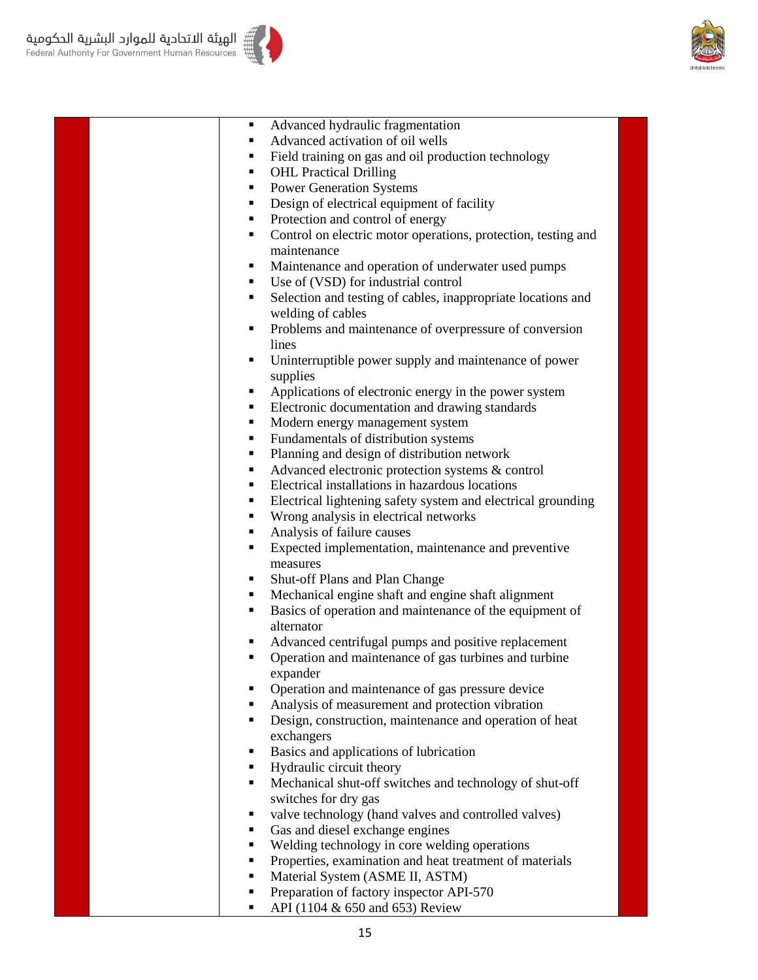



| Advanced hydraulic fragmentation                              |
|---------------------------------------------------------------|
| Advanced activation of oil wells                              |
| Field training on gas and oil production technology           |
| <b>OHL Practical Drilling</b>                                 |
| <b>Power Generation Systems</b>                               |
| Design of electrical equipment of facility                    |
| Protection and control of energy                              |
| Control on electric motor operations, protection, testing and |
| maintenance                                                   |
| Maintenance and operation of underwater used pumps            |
| Use of (VSD) for industrial control                           |
| Selection and testing of cables, inappropriate locations and  |
| welding of cables                                             |
| Problems and maintenance of overpressure of conversion        |
| lines                                                         |
| Uninterruptible power supply and maintenance of power         |
| supplies                                                      |
| Applications of electronic energy in the power system         |
| Electronic documentation and drawing standards                |
| Modern energy management system                               |
| Fundamentals of distribution systems                          |
| Planning and design of distribution network                   |
| Advanced electronic protection systems & control              |
| Electrical installations in hazardous locations               |
| Electrical lightening safety system and electrical grounding  |
| Wrong analysis in electrical networks                         |
| Analysis of failure causes                                    |
| Expected implementation, maintenance and preventive           |
| measures                                                      |
| Shut-off Plans and Plan Change                                |
| Mechanical engine shaft and engine shaft alignment            |
| Basics of operation and maintenance of the equipment of       |
| alternator                                                    |
| Advanced centrifugal pumps and positive replacement           |
| Operation and maintenance of gas turbines and turbine         |
| expander                                                      |
| Operation and maintenance of gas pressure device              |
| Analysis of measurement and protection vibration              |
| Design, construction, maintenance and operation of heat       |
| exchangers                                                    |
| Basics and applications of lubrication                        |
| Hydraulic circuit theory                                      |
| Mechanical shut-off switches and technology of shut-off       |
| switches for dry gas                                          |
| valve technology (hand valves and controlled valves)          |
| Gas and diesel exchange engines                               |
| Welding technology in core welding operations                 |
| Properties, examination and heat treatment of materials       |
| Material System (ASME II, ASTM)                               |
| Preparation of factory inspector API-570                      |
| API (1104 & 650 and 653) Review                               |
|                                                               |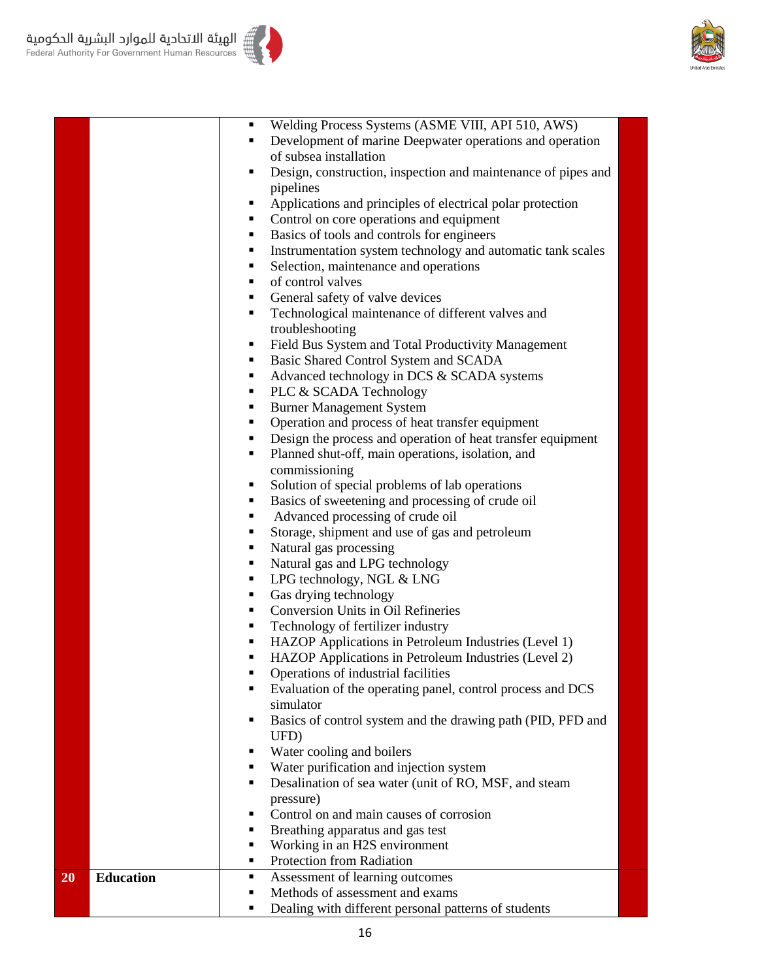



|    |                  |   | Welding Process Systems (ASME VIII, API 510, AWS)             |  |
|----|------------------|---|---------------------------------------------------------------|--|
|    |                  |   | Development of marine Deepwater operations and operation      |  |
|    |                  |   | of subsea installation                                        |  |
|    |                  | ٠ | Design, construction, inspection and maintenance of pipes and |  |
|    |                  |   | pipelines                                                     |  |
|    |                  | ٠ | Applications and principles of electrical polar protection    |  |
|    |                  | ٠ | Control on core operations and equipment                      |  |
|    |                  | ٠ | Basics of tools and controls for engineers                    |  |
|    |                  | ٠ | Instrumentation system technology and automatic tank scales   |  |
|    |                  | ٠ | Selection, maintenance and operations                         |  |
|    |                  | ٠ | of control valves                                             |  |
|    |                  | ٠ | General safety of valve devices                               |  |
|    |                  | ٠ | Technological maintenance of different valves and             |  |
|    |                  |   |                                                               |  |
|    |                  | ٠ | troubleshooting                                               |  |
|    |                  |   | Field Bus System and Total Productivity Management            |  |
|    |                  | ٠ | Basic Shared Control System and SCADA                         |  |
|    |                  | ٠ | Advanced technology in DCS & SCADA systems                    |  |
|    |                  | ٠ | PLC & SCADA Technology                                        |  |
|    |                  | ٠ | <b>Burner Management System</b>                               |  |
|    |                  | ٠ | Operation and process of heat transfer equipment              |  |
|    |                  |   | Design the process and operation of heat transfer equipment   |  |
|    |                  | ٠ | Planned shut-off, main operations, isolation, and             |  |
|    |                  |   | commissioning                                                 |  |
|    |                  | п | Solution of special problems of lab operations                |  |
|    |                  | п | Basics of sweetening and processing of crude oil              |  |
|    |                  | ٠ | Advanced processing of crude oil                              |  |
|    |                  | ٠ | Storage, shipment and use of gas and petroleum                |  |
|    |                  | ٠ | Natural gas processing                                        |  |
|    |                  | ٠ | Natural gas and LPG technology                                |  |
|    |                  | ٠ | LPG technology, NGL & LNG                                     |  |
|    |                  | ٠ | Gas drying technology                                         |  |
|    |                  | ٠ | Conversion Units in Oil Refineries                            |  |
|    |                  | ٠ | Technology of fertilizer industry                             |  |
|    |                  | ٠ | HAZOP Applications in Petroleum Industries (Level 1)          |  |
|    |                  |   | HAZOP Applications in Petroleum Industries (Level 2)          |  |
|    |                  |   | Operations of industrial facilities                           |  |
|    |                  | ٠ | Evaluation of the operating panel, control process and DCS    |  |
|    |                  |   | simulator                                                     |  |
|    |                  | ٠ | Basics of control system and the drawing path (PID, PFD and   |  |
|    |                  |   | UFD)                                                          |  |
|    |                  | ٠ | Water cooling and boilers                                     |  |
|    |                  | ٠ | Water purification and injection system                       |  |
|    |                  | ٠ | Desalination of sea water (unit of RO, MSF, and steam         |  |
|    |                  |   | pressure)                                                     |  |
|    |                  | ٠ | Control on and main causes of corrosion                       |  |
|    |                  | ٠ | Breathing apparatus and gas test                              |  |
|    |                  | ٠ | Working in an H2S environment                                 |  |
|    |                  | ٠ | Protection from Radiation                                     |  |
| 20 | <b>Education</b> | ٠ | Assessment of learning outcomes                               |  |
|    |                  | ٠ | Methods of assessment and exams                               |  |
|    |                  | ٠ | Dealing with different personal patterns of students          |  |
|    |                  |   |                                                               |  |